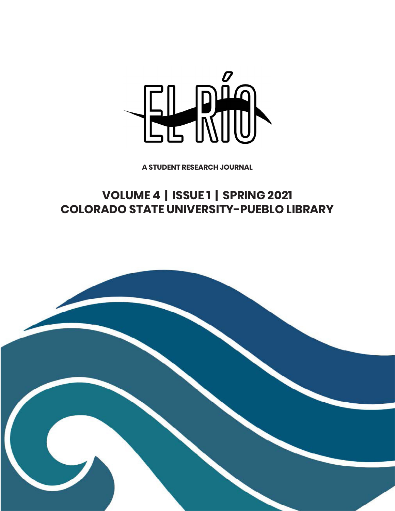

**A STUDENT RESEARCH JOURNAL**

# **VOLUME 4 | ISSUE 1 | SPRING 2021 COLORADO STATE UNIVERSITY-PUEBLO LIBRARY**

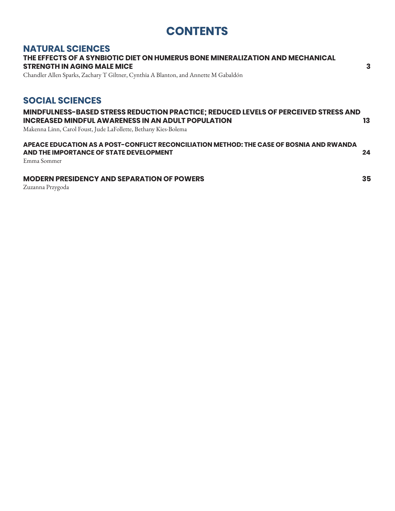# **CONTENTS**

### **NATURAL SCIENCES**

## **THE EFFECTS OF A SYNBIOTIC DIET ON HUMERUS BONE MINERALIZATION AND MECHANICAL STRENGTH IN AGING MALE MICE 3**

Chandler Allen Sparks, Zachary T Giltner, Cynthia A Blanton, and Annette M Gabaldón

## **SOCIAL SCIENCES**

### **MINDFULNESS-BASED STRESS REDUCTION PRACTICE; REDUCED LEVELS OF PERCEIVED STRESS AND INCREASED MINDFUL AWARENESS IN AN ADULT POPULATION 13**

Makenna Linn, Carol Foust, Jude LaFollette, Bethany Kies-Bolema

#### **APEACE EDUCATION AS A POST-CONFLICT RECONCILIATION METHOD: THE CASE OF BOSNIA AND RWANDA AND THE IMPORTANCE OF STATE DEVELOPMENT 24**

Emma Sommer

#### **MODERN PRESIDENCY AND SEPARATION OF POWERS 35**

Zuzanna Przygoda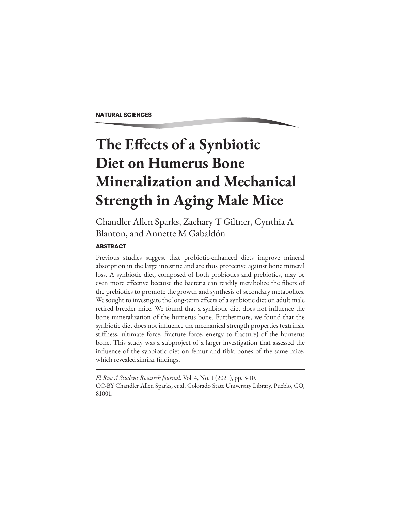**NATURAL SCIENCES**

# **The Effects of a Synbiotic Diet on Humerus Bone Mineralization and Mechanical Strength in Aging Male Mice**

Chandler Allen Sparks, Zachary T Giltner, Cynthia A Blanton, and Annette M Gabaldón

#### **ABSTRACT**

Previous studies suggest that probiotic-enhanced diets improve mineral absorption in the large intestine and are thus protective against bone mineral loss. A synbiotic diet, composed of both probiotics and prebiotics, may be even more effective because the bacteria can readily metabolize the fibers of the prebiotics to promote the growth and synthesis of secondary metabolites. We sought to investigate the long-term effects of a synbiotic diet on adult male retired breeder mice. We found that a synbiotic diet does not influence the bone mineralization of the humerus bone. Furthermore, we found that the synbiotic diet does not influence the mechanical strength properties (extrinsic stiffness, ultimate force, fracture force, energy to fracture) of the humerus bone. This study was a subproject of a larger investigation that assessed the influence of the synbiotic diet on femur and tibia bones of the same mice, which revealed similar findings.

*El Rio: A Student Research Journal.* Vol. 4, No. 1 (2021), pp. 3-10. CC-BY Chandler Allen Sparks, et al. Colorado State University Library, Pueblo, CO, 81001.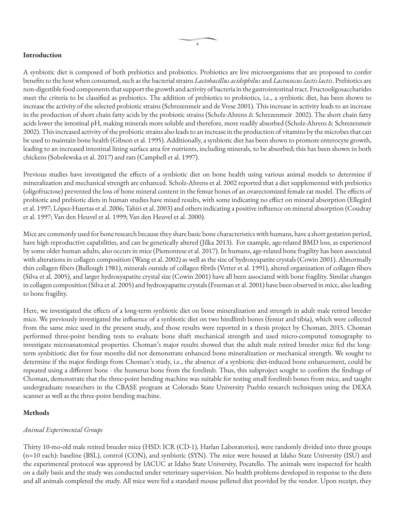#### **Introduction**

A synbiotic diet is composed of both prebiotics and probiotics. Probiotics are live microorganisms that are proposed to confer benefits to the host when consumed, such as the bacterial strains *Lactobacillus acidophilus* and *Lactococcus lactis lactis*. Prebiotics are non-digestible food components that support the growth and activity of bacteria in the gastrointestinal tract. Fructooligosaccharides meet the criteria to be classified as prebiotics. The addition of prebiotics to probiotics, i.e., a synbiotic diet, has been shown to increase the activity of the selected probiotic strains (Schrezenmeir and de Vrese 2001). This increase in activity leads to an increase in the production of short chain fatty acids by the probiotic strains (Scholz-Ahrens & Schrezenmeir 2002). The short chain fatty acids lower the intestinal pH, making minerals more soluble and therefore, more readily absorbed (Scholz-Ahrens & Schrezenmeir 2002). This increased activity of the probiotic strains also leads to an increase in the production of vitamins by the microbes that can be used to maintain bone health (Gibson et al. 1995). Additionally, a synbiotic diet has been shown to promote enterocyte growth, leading to an increased intestinal lining surface area for nutrients, including minerals, to be absorbed; this has been shown in both chickens (Sobolewska et al. 2017) and rats (Campbell et al. 1997).

Previous studies have investigated the effects of a synbiotic diet on bone health using various animal models to determine if mineralization and mechanical strength are enhanced. Scholz-Ahrens et al. 2002 reported that a diet supplemented with prebiotics (oligofructose) prevented the loss of bone mineral content in the femur bones of an ovarectomized female rat model. The effects of probiotic and prebiotic diets in human studies have mixed results, with some indicating no effect on mineral absorption (Ellegård et al. 1997; López-Huertas et al. 2006; Tahiri et al. 2003) and others indicating a positive influence on mineral absorption (Coudray et al. 1997; Van den Heuvel et al. 1999; Van den Heuvel et al. 2000).

Mice are commonly used for bone research because they share basic bone characteristics with humans, have a short gestation period, have high reproductive capabilities, and can be genetically altered (Jilka 2013). For example, age-related BMD loss, as experienced by some older human adults, also occurs in mice (Piemontese et al. 2017). In humans, age-related bone fragility has been associated with alterations in collagen composition (Wang et al. 2002) as well as the size of hydroxyapatite crystals (Cowin 2001). Abnormally thin collagen fibers (Bullough 1981), minerals outside of collagen fibrils (Vetter et al. 1991), altered organization of collagen fibers (Silva et al. 2005), and larger hydroxyapatite crystal size (Cowin 2001) have all been associated with bone fragility. Similar changes in collagen composition (Silva et al. 2005) and hydroxyapatite crystals (Freeman et al. 2001) have been observed in mice, also leading to bone fragility.

Here, we investigated the effects of a long-term synbiotic diet on bone mineralization and strength in adult male retired breeder mice. We previously investigated the influence of a synbiotic diet on two hindlimb bones (femur and tibia), which were collected from the same mice used in the present study, and those results were reported in a thesis project by Choman, 2015. Choman performed three-point bending tests to evaluate bone shaft mechanical strength and used micro-computed tomography to investigate microanatomical properties. Choman's major results showed that the adult male retired breeder mice fed the longterm synbitiotic diet for four months did not demonstrate enhanced bone mineralization or mechanical strength. We sought to determine if the major findings from Choman's study, i.e., the absence of a synbiotic diet-induced bone enhancement, could be repeated using a different bone - the humerus bone from the forelimb. Thus, this subproject sought to confirm the findings of Choman, demonstrate that the three-point bending machine was suitable for testing small forelimb bones from mice, and taught undergraduate researchers in the CBASE program at Colorado State University Pueblo research techniques using the DEXA scanner as well as the three-point bending machine.

#### **Methods**

#### *Animal Experimental Groups*

Thirty 10-mo-old male retired breeder mice (HSD: ICR (CD-1), Harlan Laboratories), were randomly divided into three groups (n=10 each): baseline (BSL), control (CON), and synbiotic (SYN). The mice were housed at Idaho State University (ISU) and the experimental protocol was approved by IACUC at Idaho State University, Pocatello. The animals were inspected for health on a daily basis and the study was conducted under veterinary supervision. No health problems developed in response to the diets and all animals completed the study. All mice were fed a standard mouse pelleted diet provided by the vendor. Upon receipt, they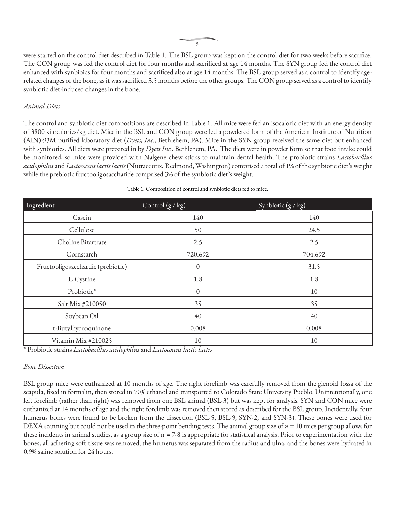were started on the control diet described in Table 1. The BSL group was kept on the control diet for two weeks before sacrifice. The CON group was fed the control diet for four months and sacrificed at age 14 months. The SYN group fed the control diet enhanced with synbioics for four months and sacrificed also at age 14 months. The BSL group served as a control to identify agerelated changes of the bone, as it was sacrificed 3.5 months before the other groups. The CON group served as a control to identify synbiotic diet-induced changes in the bone.

#### *Animal Diets*

The control and synbiotic diet compositions are described in Table 1. All mice were fed an isocaloric diet with an energy density of 3800 kilocalories/kg diet. Mice in the BSL and CON group were fed a powdered form of the American Institute of Nutrition (AIN)-93M purified laboratory diet (*Dyets, Inc.*, Bethlehem, PA). Mice in the SYN group received the same diet but enhanced with synbiotics. All diets were prepared in by *Dyets Inc.*, Bethlehem, PA. The diets were in powder form so that food intake could be monitored, so mice were provided with Nalgene chew sticks to maintain dental health. The probiotic strains *Lactobacillus acidophilus* and *Lactococcus lactis lactis* (Nutraceutix, Redmond, Washington) comprised a total of 1% of the synbiotic diet's weight while the prebiotic fructooligosaccharide comprised 3% of the synbiotic diet's weight.

| Table 1. Composition of control and synbiotic diets fed to mice. |                  |                               |  |
|------------------------------------------------------------------|------------------|-------------------------------|--|
| Control $(g / kg)$<br>Ingredient                                 |                  | Synbiotic $(g/\overline{kg})$ |  |
| Casein                                                           | 140              | 140                           |  |
| Cellulose                                                        | 50               | 24.5                          |  |
| Choline Bitartrate                                               | 2.5              | 2.5                           |  |
| Cornstarch                                                       | 720.692          | 704.692                       |  |
| Fructooligosacchardie (prebiotic)                                | $\theta$         | 31.5                          |  |
| L-Cystine                                                        | 1.8              | 1.8                           |  |
| Probiotic*                                                       | $\boldsymbol{0}$ | 10                            |  |
| Salt Mix #210050                                                 | 35               | 35                            |  |
| Soybean Oil                                                      | 40               | 40                            |  |
| t-Butylhydroquinone                                              | 0.008            | 0.008                         |  |
| Vitamin Mix #210025                                              | 10               | 10                            |  |

\* Probiotic strains *Lactobacillus acidophilus* and *Lactococcus lactis lactis*

#### *Bone Dissection*

BSL group mice were euthanized at 10 months of age. The right forelimb was carefully removed from the glenoid fossa of the scapula, fixed in formalin, then stored in 70% ethanol and transported to Colorado State University Pueblo. Unintentionally, one left forelimb (rather than right) was removed from one BSL animal (BSL-3) but was kept for analysis. SYN and CON mice were euthanized at 14 months of age and the right forelimb was removed then stored as described for the BSL group. Incidentally, four humerus bones were found to be broken from the dissection (BSL-5, BSL-9, SYN-2, and SYN-3). These bones were used for DEXA scanning but could not be used in the three-point bending tests. The animal group size of  $n = 10$  mice per group allows for these incidents in animal studies, as a group size of  $n = 7-8$  is appropriate for statistical analysis. Prior to experimentation with the bones, all adhering soft tissue was removed, the humerus was separated from the radius and ulna, and the bones were hydrated in 0.9% saline solution for 24 hours.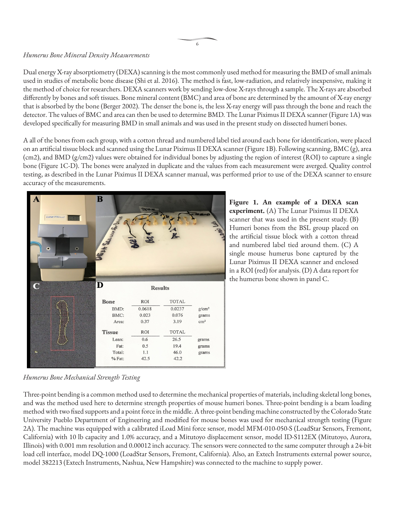#### *Humerus Bone Mineral Density Measurements*

Dual energy X-ray absorptiometry (DEXA) scanning is the most commonly used method for measuring the BMD of small animals used in studies of metabolic bone disease (Shi et al. 2016). The method is fast, low-radiation, and relatively inexpensive, making it the method of choice for researchers. DEXA scanners work by sending low-dose X-rays through a sample. The X-rays are absorbed differently by bones and soft tissues. Bone mineral content (BMC) and area of bone are determined by the amount of X-ray energy that is absorbed by the bone (Berger 2002). The denser the bone is, the less X-ray energy will pass through the bone and reach the detector. The values of BMC and area can then be used to determine BMD. The Lunar Piximus II DEXA scanner (Figure 1A) was developed specifically for measuring BMD in small animals and was used in the present study on dissected humeri bones.

A all of the bones from each group, with a cotton thread and numbered label tied around each bone for identification, were placed on an artificial tissue block and scanned using the Lunar Piximus II DEXA scanner (Figure 1B). Following scanning, BMC (g), area (cm2), and BMD (g/cm2) values were obtained for individual bones by adjusting the region of interest (ROI) to capture a single bone (Figure 1C-D). The bones were analyzed in duplicate and the values from each measurement were averged. Quality control testing, as described in the Lunar Piximus II DEXA scanner manual, was performed prior to use of the DEXA scanner to ensure accuracy of the measurements.

| $\mathbf{A}$<br>Lunar PIXImus2<br>$\bullet$<br>۰ | $\bf{B}$<br>Mar. See<br>465 |            |                |                 |
|--------------------------------------------------|-----------------------------|------------|----------------|-----------------|
| $\overline{\mathbf{C}}$                          | $\overline{\mathbf{D}}$     |            | <b>Results</b> |                 |
|                                                  | <b>Bone</b>                 | <b>ROI</b> | <b>TOTAL</b>   |                 |
|                                                  | BMD:                        | 0.0618     | 0.0237         | $g/cm^2$        |
|                                                  | BMC:                        | 0.023      | 0.076          | grams           |
|                                                  | Area:                       | 0.37       | 3.19           | cm <sup>2</sup> |
|                                                  | <b>Tissue</b>               | ROI        | <b>TOTAL</b>   |                 |
|                                                  | Lean:                       | 0.6        | 26.5           | grams           |
|                                                  | Fat:                        | 0.5        | 19.4           | grams           |
| $\bullet$                                        | Total:                      | 1.1        | 46.0           | grams           |
|                                                  | % Fat:                      | 42.5       | 42.2           |                 |

**Figure 1. An example of a DEXA scan experiment.** (A) The Lunar Piximus II DEXA scanner that was used in the present study. (B) Humeri bones from the BSL group placed on the artificial tissue block with a cotton thread and numbered label tied around them. (C) A single mouse humerus bone captured by the Lunar Piximus II DEXA scanner and enclosed in a ROI (red) for analysis. (D) A data report for the humerus bone shown in panel C.

*Humerus Bone Mechanical Strength Testing*

Three-point bending is a common method used to determine the mechanical properties of materials, including skeletal long bones, and was the method used here to determine strength properties of mouse humeri bones. Three-point bending is a beam loading method with two fixed supports and a point force in the middle. A three-point bending machine constructed by the Colorado State University Pueblo Department of Engineering and modified for mouse bones was used for mechanical strength testing (Figure 2A). The machine was equipped with a calibrated iLoad Mini force sensor, model MFM-010-050-S (LoadStar Sensors, Fremont, California) with 10 lb capacity and 1.0% accuracy, and a Mitutoyo displacement sensor, model ID-S112EX (Mitutoyo, Aurora, Illinois) with 0.001 mm resolution and 0.00012 inch accuracy. The sensors were connected to the same computer through a 24-bit load cell interface, model DQ-1000 (LoadStar Sensors, Fremont, California). Also, an Extech Instruments external power source, model 382213 (Extech Instruments, Nashua, New Hampshire) was connected to the machine to supply power.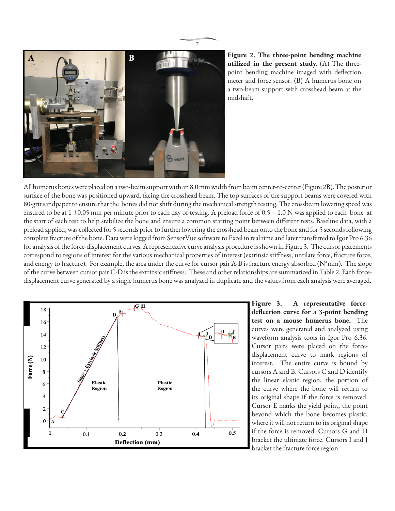

**Figure 2. The three-point bending machine utilized in the present study.** (A) The threepoint bending machine imaged with deflection meter and force sensor. (B) A humerus bone on a two-beam support with crosshead beam at the midshaft.

All humerus bones were placed on a two-beam support with an 8.0 mm width from beam center-to-center (Figure 2B). The posterior surface of the bone was positioned upward, facing the crosshead beam. The top surfaces of the support beams were covered with 80-grit sandpaper to ensure that the bones did not shift during the mechanical strength testing. The crossbeam lowering speed was ensured to be at  $1 \pm 0.05$  mm per minute prior to each day of testing. A preload force of  $0.5 - 1.0$  N was applied to each bone at the start of each test to help stabilize the bone and ensure a common starting point between different tests. Baseline data, with a preload applied, was collected for 5 seconds prior to further lowering the crosshead beam onto the bone and for 5 seconds following complete fracture of the bone. Data were logged from SensorVue software to Excel in real time and later transferred to Igor Pro 6.36 for analysis of the force-displacement curves. A representative curve analysis procedure is shown in Figure 3. The cursor placements correspond to regions of interest for the various mechanical properties of interest (extrinsic stiffness, untilate force, fracture force, and energy to fracture). For example, the area under the curve for cursor pair A-B is fracture energy absorbed ( $N^*$ mm). The slope of the curve between cursor pair C-D is the extrinsic stiffness. These and other relationships are summarized in Table 2. Each forcedisplacement curve generated by a single humerus bone was analyzed in duplicate and the values from each analysis were averaged.



**Figure 3. A representative forcedeflection curve for a 3-point bending test on a mouse humerus bone.** The curves were generated and analyzed using waveform analysis tools in Igor Pro 6.36. Cursor pairs were placed on the forcedisplacement curve to mark regions of interest. The entire curve is bound by cursors A and B. Cursors C and D identify the linear elastic region, the portion of the curve where the bone will return to its original shape if the force is removed. Cursor E marks the yield point, the point beyond which the bone becomes plastic, where it will not return to its original shape if the force is removed. Cursors G and H bracket the ultimate force. Cursors I and J bracket the fracture force region.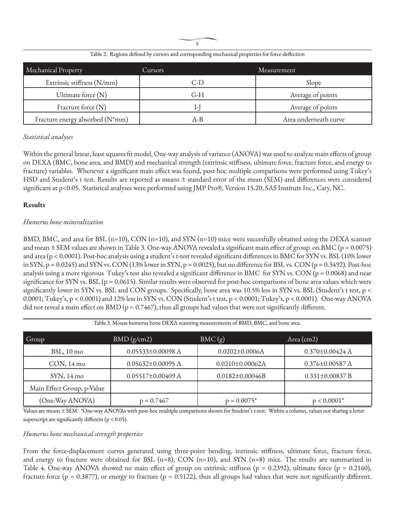8

| Mechanical Property             | Cursors           | Measurement           |
|---------------------------------|-------------------|-----------------------|
| Extrinsic stiffness (N/mm)      | $\vert - \vert$ ) | Slope                 |
| Ultimate force $(N)$            | G-H               | Average of points     |
| Fracture force (N)              |                   | Average of points     |
| Fracture energy absorbed (N*mm) | A-B               | Area underneath curve |

Table 2. Regions defined by cursors and corresponding mechanical properties for force-deflection

#### *Statistical analyses*

Within the general linear, least squares fit model, One-way analysis of variance (ANOVA) was used to analyze main effects of group on DEXA (BMC, bone area, and BMD) and mechanical strength (extrinsic stiffness, ultimate force, fracture force, and energy to fracture) variables. Whenever a significant main effect was found, post-hoc multiple comparisons were performed using Tukey's HSD and Student's t test. Results are reported as means ± standard error of the mean (SEM) and differences were considered significant at p<0.05. Statistical analyses were performed using JMP Pro®, Version 15.20, SAS Institute Inc., Cary, NC.

#### **Results**

#### *Humerus bone mineralization*

BMD, BMC, and area for BSL (n=10), CON (n=10), and SYN (n=10) mice were succesfully obtained using the DEXA scanner and mean  $\pm$  SEM values are shown in Table 3. One-way ANOVA revealed a significant main effect of group on BMC ( $p = 0.0075$ ) and area (p < 0.0001). Post-hoc analysis using a student's t-test revealed significant differences in BMC for SYN vs. BSL (10% lower in SYN,  $p = 0.0245$  and SYN vs. CON (13% lower in SYN,  $p = 0.0025$ ), but no difference for BSL vs. CON ( $p = 0.3492$ ). Post-hoc analysis using a more rigorous Tukey's test also revealed a significant difference in BMC for SYN vs. CON ( $p = 0.0068$ ) and near significance for SYN vs. BSL ( $p = 0.0615$ ). Similar results were observed for post-hoc comparisons of bone area values which were significantly lower in SYN vs. BSL and CON groups. Specifically, bone area was 10.5% less in SYN vs. BSL (Student's t test, p < 0.0001; Tukey's, p < 0.0001) and 12% less in SYN vs. CON (Student's t test, p < 0.0001; Tukey's, p < 0.0001). One-way ANOVA did not reveal a main effect on BMD ( $p = 0.7467$ ), thus all groups had values that were not significantly different.

| Group                      | BMD(g/cm2)              | BMC(g)                 | Area (cm2)            |
|----------------------------|-------------------------|------------------------|-----------------------|
| $BSL$ , 10 mo              | $0.05533 \pm 0.00098$ A | $0.0202 \pm 0.0006$ A  | $0.370 \pm 0.00424$ A |
| $CON, 14 \text{ mo}$       | $0.05632\pm0.00095$ A   | $0.0210 \pm 0.00062$ A | $0.376 \pm 0.00587$ A |
| $SYN$ , 14 mo              | $0.05517 \pm 0.00409$ A | $0.0182 \pm 0.00046B$  | $0.331 \pm 0.00837 B$ |
| Main Effect Group, p-Value |                         |                        |                       |
| (One-Way ANOVA)            | $p = 0.7467$            | $p = 0.0075^*$         | $p < 0.0001^*$        |

Table 3. Mouse humerus bone DEXA scanning measurements of BMD, BMC, and bone area.

Values are means ± SEM. \*One-way ANOVAs with post-hoc multiple comparisons shown for Student's t-test. Within a column, values not sharing a letter superscript are significantly different ( $p < 0.05$ ).

#### *Humerus bone mechanical strength properties*

From the force-displacement curves generated using three-point bending, intrinsic stiffness, ultimate force, fracture force, and energy to fracture were obtained for BSL  $(n=8)$ , CON  $(n=10)$ , and SYN  $(n=8)$  mice. The results are summarized in Table 4. One-way ANOVA showed no main effect of group on extrinsic stiffness ( $p = 0.2392$ ), ultimate force ( $p = 0.2160$ ), fracture force ( $p = 0.3877$ ), or energy to fracture ( $p = 0.5122$ ), thus all groups had values that were not significantly different.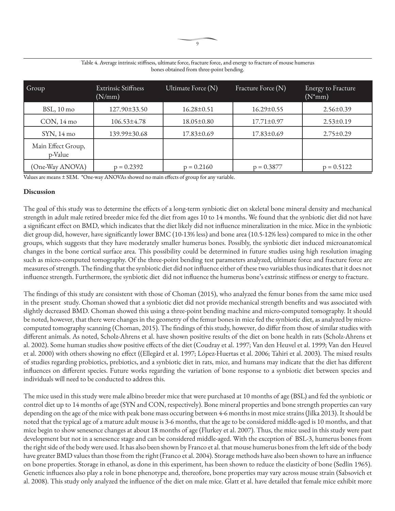| Group                         | <b>Extrinsic Stiffness</b><br>(N/mm) | Ultimate Force (N) | Fracture Force (N) | Energy to Fracture<br>$(N^*mm)$ |
|-------------------------------|--------------------------------------|--------------------|--------------------|---------------------------------|
| $BSL$ , 10 mo                 | 127.90±33.50                         | $16.28 \pm 0.51$   | $16.29 \pm 0.55$   | $2.56 \pm 0.39$                 |
| $CON, 14 \text{ mo}$          | $106.53 \pm 4.78$                    | $18.05 \pm 0.80$   | $17.71 \pm 0.97$   | $2.53 \pm 0.19$                 |
| $SYN$ , 14 mo                 | 139.99±30.68                         | 17.83±0.69         | $17.83 \pm 0.69$   | $2.75 \pm 0.29$                 |
| Main Effect Group,<br>p-Value |                                      |                    |                    |                                 |
| (One-Way ANOVA)               | $p = 0.2392$                         | $p = 0.2160$       | $p = 0.3877$       | $p = 0.5122$                    |

Table 4. Average intrinsic stiffness, ultimate force, fracture force, and energy to fracture of mouse humerus bones obtained from three-point bending.

Values are means ± SEM. \*One-way ANOVAs showed no main effects of group for any variable.

#### **Discussion**

The goal of this study was to determine the effects of a long-term synbiotic diet on skeletal bone mineral density and mechanical strength in adult male retired breeder mice fed the diet from ages 10 to 14 months. We found that the synbiotic diet did not have a significant effect on BMD, which indicates that the diet likely did not influence mineralization in the mice. Mice in the synbiotic diet group did, however, have significantly lower BMC (10-13% less) and bone area (10.5-12% less) compared to mice in the other groups, which suggests that they have moderately smaller humerus bones. Possibly, the synbiotic diet induced microanatomical changes in the bone cortical surface area. This possibility could be determined in future studies using high resolution imaging such as micro-computed tomography. Of the three-point bending test parameters analyzed, ultimate force and fracture force are measures of strength. The finding that the synbiotic diet did not influence either of these two variables thus indicates that it does not influence strength. Furthermore, the synbiotic diet did not influence the humerus bone's extrinsic stiffness or energy to fracture.

The findings of this study are consistent with those of Choman (2015), who analyzed the femur bones from the same mice used in the present study. Choman showed that a synbiotic diet did not provide mechanical strength benefits and was associated with slightly decreased BMD. Choman showed this using a three-point bending machine and micro-computed tomography. It should be noted, however, that there were changes in the geometry of the femur bones in mice fed the synbiotic diet, as analyzed by microcomputed tomography scanning (Choman, 2015). The findings of this study, however, do differ from those of similar studies with different animals. As noted, Scholz-Ahrens et al. have shown positive results of the diet on bone health in rats (Scholz-Ahrens et al. 2002). Some human studies show positive effects of the diet (Coudray et al. 1997; Van den Heuvel et al. 1999; Van den Heuvel et al. 2000) with others showing no effect ((Ellegård et al. 1997; López-Huertas et al. 2006; Tahiri et al. 2003). The mixed results of studies regarding probiotics, prebiotics, and a synbiotic diet in rats, mice, and humans may indicate that the diet has different influences on different species. Future works regarding the variation of bone response to a synbiotic diet between species and individuals will need to be conducted to address this.

The mice used in this study were male albino breeder mice that were purchased at 10 months of age (BSL) and fed the synbiotic or control diet up to 14 months of age (SYN and CON, respectively). Bone mineral properties and bone strength properties can vary depending on the age of the mice with peak bone mass occuring between 4-6 months in most mice strains (Jilka 2013). It should be noted that the typical age of a mature adult mouse is 3-6 months, that the age to be considered middle-aged is 10 months, and that mice begin to show senesence changes at about 18 months of age (Flurkey et al. 2007). Thus, the mice used in this study were past development but not in a senesence stage and can be considered middle-aged. With the exception of BSL-3, humerus bones from the right side of the body were used. It has also been shown by Franco et al. that mouse humerus bones from the left side of the body have greater BMD values than those from the right (Franco et al. 2004). Storage methods have also been shown to have an influence on bone properties. Storage in ethanol, as done in this experiment, has been shown to reduce the elasticity of bone (Sedlin 1965). Genetic influences also play a role in bone phenotype and, thereofore, bone properties may vary across mouse strain (Sabsovich et al. 2008). This study only analyzed the influence of the diet on male mice. Glatt et al. have detailed that female mice exhibit more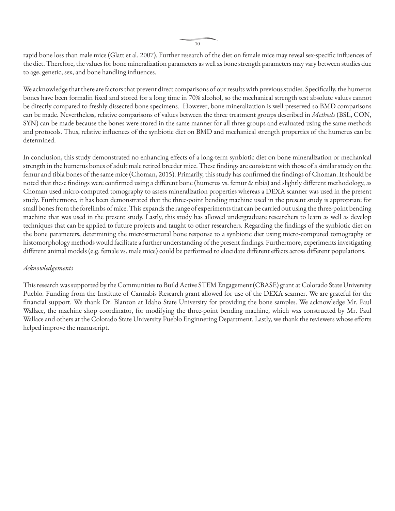rapid bone loss than male mice (Glatt et al. 2007). Further research of the diet on female mice may reveal sex-specific influences of the diet. Therefore, the values for bone mineralization parameters as well as bone strength parameters may vary between studies due to age, genetic, sex, and bone handling influences.

We acknowledge that there are factors that prevent direct comparisons of our results with previous studies. Specifically, the humerus bones have been formalin fixed and stored for a long time in 70% alcohol, so the mechanical strength test absolute values cannot be directly compared to freshly dissected bone specimens. However, bone mineralization is well preserved so BMD comparisons can be made. Nevertheless, relative comparisons of values between the three treatment groups described in *Methods* (BSL, CON, SYN) can be made because the bones were stored in the same manner for all three groups and evaluated using the same methods and protocols. Thus, relative influences of the synbiotic diet on BMD and mechanical strength properties of the humerus can be determined.

In conclusion, this study demonstrated no enhancing effects of a long-term synbiotic diet on bone mineralization or mechanical strength in the humerus bones of adult male retired breeder mice. These findings are consistent with those of a similar study on the femur and tibia bones of the same mice (Choman, 2015). Primarily, this study has confirmed the findings of Choman. It should be noted that these findings were confirmed using a different bone (humerus vs. femur & tibia) and slightly different methodology, as Choman used micro-computed tomography to assess mineralization properties whereas a DEXA scanner was used in the present study. Furthermore, it has been demonstrated that the three-point bending machine used in the present study is appropriate for small bones from the forelimbs of mice. This expands the range of experiments that can be carried out using the three-point bending machine that was used in the present study. Lastly, this study has allowed undergraduate researchers to learn as well as develop techniques that can be applied to future projects and taught to other researchers. Regarding the findings of the synbiotic diet on the bone parameters, determining the microstructural bone response to a synbiotic diet using micro-computed tomography or histomorphology methods would facilitate a further understanding of the present findings. Furthermore, experiments investigating different animal models (e.g. female vs. male mice) could be performed to elucidate different effects across different populations.

#### *Acknowledgements*

This research was supported by the Communities to Build Active STEM Engagement (CBASE) grant at Colorado State University Pueblo. Funding from the Institute of Cannabis Research grant allowed for use of the DEXA scanner. We are grateful for the financial support. We thank Dr. Blanton at Idaho State University for providing the bone samples. We acknowledge Mr. Paul Wallace, the machine shop coordinator, for modifying the three-point bending machine, which was constructed by Mr. Paul Wallace and others at the Colorado State University Pueblo Enginnering Department. Lastly, we thank the reviewers whose efforts helped improve the manuscript.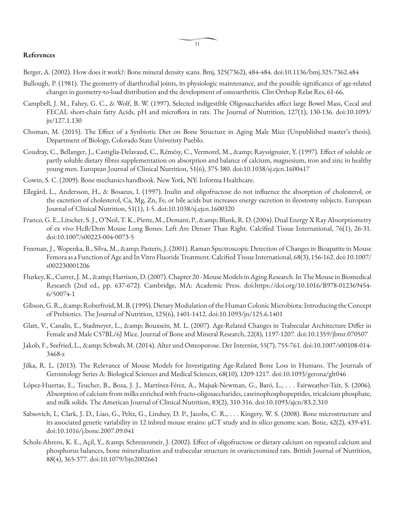#### **References**

- Berger, A. (2002). How does it work?: Bone mineral density scans. Bmj, 325(7362), 484-484. doi:10.1136/bmj.325.7362.484
- Bullough, P. (1981). The geometry of diarthrodial joints, its physiologic maintenance, and the possible significance of age-related changes in geometry-to-load distribution and the development of osteoarthritis. Clin Orthop Relat Res, 61-66.
- Campbell, J. M., Fahey, G. C., & Wolf, B. W. (1997). Selected indigestible Oligosaccharides affect large Bowel Mass, Cecal and FECAL short-chain fatty Acids, pH and microflora in rats. The Journal of Nutrition, 127(1), 130-136. doi:10.1093/ jn/127.1.130
- Choman, M. (2015). The Effect of a Synbiotic Diet on Bone Structure in Aging Male Mice (Unpublished master's thesis). Department of Biology, Colorado State Univeristy Pueblo.
- Coudray, C., Bellanger, J., Castiglia-Delavaud, C., Rémésy, C., Vermorel, M., & amp; Rayssignuier, Y. (1997). Effect of soluble or partly soluble dietary fibres supplementation on absorption and balance of calcium, magnesium, iron and zinc in healthy young men. European Journal of Clinical Nutrition, 51(6), 375-380. doi:10.1038/sj.ejcn.1600417
- Cowin, S. C. (2009). Bone mechanics handbook. New York, NY: Informa Healthcare.
- Ellegård, L., Andersson, H., & Bosaeus, I. (1997). Inulin and oligofructose do not influence the absorption of cholesterol, or the excretion of cholesterol, Ca, Mg, Zn, Fe, or bile acids but increases energy excretion in ileostomy subjects. European Journal of Clinical Nutrition, 51(1), 1-5. doi:10.1038/sj.ejcn.1600320
- Franco, G. E., Litscher, S. J., O'Neil, T. K., Piette, M., Demant, P., & amp; Blank, R. D. (2004). Dual Energy X Ray Absorptiometry of ex vivo HcB/Dem Mouse Long Bones: Left Are Denser Than Right. Calcified Tissue International, 76(1), 26-31. doi:10.1007/s00223-004-0073-5
- Freeman, J., Wopenka, B., Silva, M., & amp; Pasteris, J. (2001). Raman Spectroscopic Detection of Changes in Bioapatite in Mouse Femora as a Function of Age and In Vitro Fluoride Treatment. Calcified Tissue International, 68(3), 156-162. doi:10.1007/ s002230001206
- Flurkey, K., Currer, J. M., & amp; Harrison, D. (2007). Chapter 20 Mouse Models in Aging Research. In The Mouse in Biomedical Research (2nd ed., pp. 637-672). Cambridge, MA: Academic Press. doi:https://doi.org/10.1016/B978-012369454- 6/50074-1
- Gibson, G. R., & amp; Roberfroid, M. B. (1995). Dietary Modulation of the Human Colonic Microbiota: Introducing the Concept of Prebiotics. The Journal of Nutrition, 125(6), 1401-1412. doi:10.1093/jn/125.6.1401
- Glatt, V., Canalis, E., Stadmeyer, L., & Bouxsein, M. L. (2007). Age-Related Changes in Trabecular Architecture Differ in Female and Male C57BL/6J Mice. Journal of Bone and Mineral Research, 22(8), 1197-1207. doi:10.1359/jbmr.070507
- Jakob, F., Seefried, L., & amp; Schwab, M. (2014). Alter und Osteoporose. Der Internist, 55(7), 755-761. doi:10.1007/s00108-014-3468-z
- Jilka, R. L. (2013). The Relevance of Mouse Models for Investigating Age-Related Bone Loss in Humans. The Journals of Gerontology Series A: Biological Sciences and Medical Sciences, 68(10), 1209-1217. doi:10.1093/gerona/glt046
- López-Huertas, E., Teucher, B., Boza, J. J., Martínez-Férez, A., Majsak-Newman, G., Baró, L., . . . Fairweather-Tait, S. (2006). Absorption of calcium from milks enriched with fructo-oligosaccharides, caseinophosphopeptides, tricalcium phosphate, and milk solids. The American Journal of Clinical Nutrition, 83(2), 310-316. doi:10.1093/ajcn/83.2.310
- Sabsovich, I., Clark, J. D., Liao, G., Peltz, G., Lindsey, D. P., Jacobs, C. R., . . . Kingery, W. S. (2008). Bone microstructure and its associated genetic variability in 12 inbred mouse strains: μCT study and in silico genome scan. Bone, 42(2), 439-451. doi:10.1016/j.bone.2007.09.041
- Scholz-Ahrens, K. E., Açil, Y., & amp; Schrezenmeir, J. (2002). Effect of oligofructose or dietary calcium on repeated calcium and phosphorus balances, bone mineralization and trabecular structure in ovariectomized rats. British Journal of Nutrition, 88(4), 365-377. doi:10.1079/bjn2002661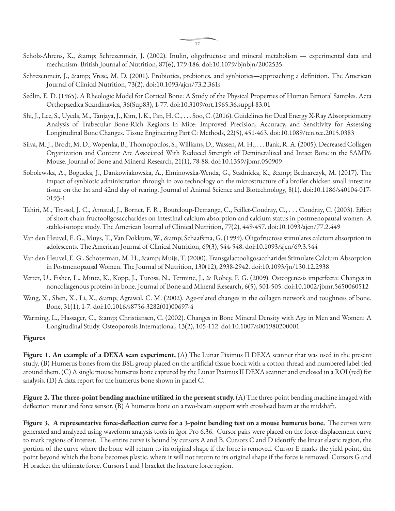- Scholz-Ahrens, K., & amp; Schrezenmeir, J. (2002). Inulin, oligofructose and mineral metabolism experimental data and mechanism. British Journal of Nutrition, 87(6), 179-186. doi:10.1079/bjnbjn/2002535
- Schrezenmeir, J., & amp; Vrese, M. D. (2001). Probiotics, prebiotics, and synbiotics—approaching a definition. The American Journal of Clinical Nutrition, 73(2). doi:10.1093/ajcn/73.2.361s
- Sedlin, E. D. (1965). A Rheologic Model for Cortical Bone: A Study of the Physical Properties of Human Femoral Samples. Acta Orthopaedica Scandinavica, 36(Sup83), 1-77. doi:10.3109/ort.1965.36.suppl-83.01
- Shi, J., Lee, S., Uyeda, M., Tanjaya, J., Kim, J. K., Pan, H. C., . . . Soo, C. (2016). Guidelines for Dual Energy X-Ray Absorptiometry Analysis of Trabecular Bone-Rich Regions in Mice: Improved Precision, Accuracy, and Sensitivity for Assessing Longitudinal Bone Changes. Tissue Engineering Part C: Methods, 22(5), 451-463. doi:10.1089/ten.tec.2015.0383
- Silva, M. J., Brodt, M. D., Wopenka, B., Thomopoulos, S., Williams, D., Wassen, M. H., . . . Bank, R. A. (2005). Decreased Collagen Organization and Content Are Associated With Reduced Strength of Demineralized and Intact Bone in the SAMP6 Mouse. Journal of Bone and Mineral Research, 21(1), 78-88. doi:10.1359/jbmr.050909
- Sobolewska, A., Bogucka, J., Dankowiakowska, A., Elminowska-Wenda, G., Stadnicka, K., & Bednarczyk, M. (2017). The impact of synbiotic administration through in ovo technology on the microstructure of a broiler chicken small intestine tissue on the 1st and 42nd day of rearing. Journal of Animal Science and Biotechnology, 8(1). doi:10.1186/s40104-017- 0193-1
- Tahiri, M., Tressol, J. C., Arnaud, J., Bornet, F. R., Bouteloup-Demange, C., Feillet-Coudray, C., . . . Coudray, C. (2003). Effect of short-chain fructooligosaccharides on intestinal calcium absorption and calcium status in postmenopausal women: A stable-isotope study. The American Journal of Clinical Nutrition, 77(2), 449-457. doi:10.1093/ajcn/77.2.449
- Van den Heuvel, E. G., Muys, T., Van Dokkum, W., & amp; Schaafsma, G. (1999). Oligofructose stimulates calcium absorption in adolescents. The American Journal of Clinical Nutrition, 69(3), 544-548. doi:10.1093/ajcn/69.3.544
- Van den Heuvel, E. G., Schoterman, M. H., & amp; Muijs, T. (2000). Transgalactooligosaccharides Stimulate Calcium Absorption in Postmenopausal Women. The Journal of Nutrition, 130(12), 2938-2942. doi:10.1093/jn/130.12.2938
- Vetter, U., Fisher, L., Mintz, K., Kopp, J., Tuross, N., Termine, J., & Robey, P. G. (2009). Osteogenesis imperfecta: Changes in noncollagenous proteins in bone. Journal of Bone and Mineral Research, 6(5), 501-505. doi:10.1002/jbmr.5650060512
- Wang, X., Shen, X., Li, X., & amp; Agrawal, C. M. (2002). Age-related changes in the collagen network and toughness of bone. Bone, 31(1), 1-7. doi:10.1016/s8756-3282(01)00697-4
- Warming, L., Hassager, C., & Christiansen, C. (2002). Changes in Bone Mineral Density with Age in Men and Women: A Longitudinal Study. Osteoporosis International, 13(2), 105-112. doi:10.1007/s001980200001

#### **Figures**

**Figure 1. An example of a DEXA scan experiment.** (A) The Lunar Piximus II DEXA scanner that was used in the present study. (B) Humerus bones from the BSL group placed on the artificial tissue block with a cotton thread and numbered label tied around them. (C) A single mouse humerus bone captured by the Lunar Piximus II DEXA scanner and enclosed in a ROI (red) for analysis. (D) A data report for the humerus bone shown in panel C.

**Figure 2. The three-point bending machine utilized in the present study.** (A) The three-point bending machine imaged with deflection meter and force sensor. (B) A humerus bone on a two-beam support with crosshead beam at the midshaft.

**Figure 3. A representative force-deflection curve for a 3-point bending test on a mouse humerus bone.** The curves were generated and analyzed using waveform analysis tools in Igor Pro 6.36. Cursor pairs were placed on the force-displacement curve to mark regions of interest. The entire curve is bound by cursors A and B. Cursors C and D identify the linear elastic region, the portion of the curve where the bone will return to its original shape if the force is removed. Cursor E marks the yield point, the point beyond which the bone becomes plastic, where it will not return to its original shape if the force is removed. Cursors G and H bracket the ultimate force. Cursors I and J bracket the fracture force region.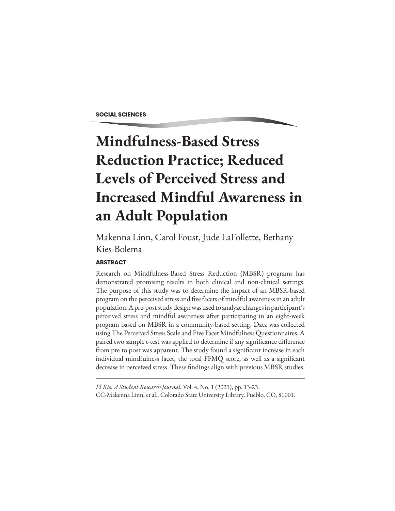#### **SOCIAL SCIENCES**

# **Mindfulness-Based Stress Reduction Practice; Reduced Levels of Perceived Stress and Increased Mindful Awareness in an Adult Population**

Makenna Linn, Carol Foust, Jude LaFollette, Bethany Kies-Bolema

#### **ABSTRACT**

Research on Mindfulness-Based Stress Reduction (MBSR) programs has demonstrated promising results in both clinical and non-clinical settings. The purpose of this study was to determine the impact of an MBSR-based program on the perceived stress and five facets of mindful awareness in an adult population. A pre-post study design was used to analyze changes in participant's perceived stress and mindful awareness after participating in an eight-week program based on MBSR in a community-based setting. Data was collected using The Perceived Stress Scale and Five Facet Mindfulness Questionnaires. A paired two sample t-test was applied to determine if any significance difference from pre to post was apparent. The study found a significant increase in each individual mindfulness facet, the total FFMQ score, as well as a significant decrease in perceived stress. These findings align with previous MBSR studies.

*El Rio: A Student Research Journal.* Vol. 4, No. 1 (2021), pp. 13-23 . CC-Makenna Linn, et al.. Colorado State University Library, Pueblo, CO, 81001.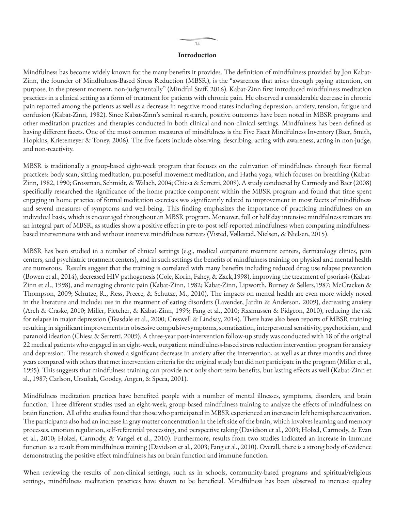#### **Introduction**

Mindfulness has become widely known for the many benefits it provides. The definition of mindfulness provided by Jon Kabat-Zinn, the founder of Mindfulness-Based Stress Reduction (MBSR), is the "awareness that arises through paying attention, on purpose, in the present moment, non-judgmentally" (Mindful Staff, 2016). Kabat-Zinn first introduced mindfulness meditation practices in a clinical setting as a form of treatment for patients with chronic pain. He observed a considerable decrease in chronic pain reported among the patients as well as a decrease in negative mood states including depression, anxiety, tension, fatigue and confusion (Kabat-Zinn, 1982). Since Kabat-Zinn's seminal research, positive outcomes have been noted in MBSR programs and other meditation practices and therapies conducted in both clinical and non-clinical settings. Mindfulness has been defined as having different facets. One of the most common measures of mindfulness is the Five Facet Mindfulness Inventory (Baer, Smith, Hopkins, Krietemeyer & Toney, 2006). The five facets include observing, describing, acting with awareness, acting in non-judge, and non-reactivity.

MBSR is traditionally a group-based eight-week program that focuses on the cultivation of mindfulness through four formal practices: body scan, sitting meditation, purposeful movement meditation, and Hatha yoga, which focuses on breathing (Kabat-Zinn, 1982, 1990; Grossman, Schmidt, & Walach, 2004; Chiesa & Serretti, 2009). A study conducted by Carmody and Baer (2008) specifically researched the significance of the home practice component within the MBSR program and found that time spent engaging in home practice of formal meditation exercises was significantly related to improvement in most facets of mindfulness and several measures of symptoms and well-being. This finding emphasizes the importance of practicing mindfulness on an individual basis, which is encouraged throughout an MBSR program. Moreover, full or half day intensive mindfulness retreats are an integral part of MBSR, as studies show a positive effect in pre-to-post self-reported mindfulness when comparing mindfulnessbased interventions with and without intensive mindfulness retreats (Visted, Vøllestad, Nielsen, & Nielsen, 2015).

MBSR has been studied in a number of clinical settings (e.g., medical outpatient treatment centers, dermatology clinics, pain centers, and psychiatric treatment centers), and in such settings the benefits of mindfulness training on physical and mental health are numerous. Results suggest that the training is correlated with many benefits including reduced drug use relapse prevention (Bowen et al., 2014), decreased HIV pathogenesis (Cole, Korin, Fahey, & Zack,1998), improving the treatment of psoriasis (Kabat-Zinn et al., 1998), and managing chronic pain (Kabat-Zinn, 1982; Kabat-Zinn, Lipworth, Burney & Sellers,1987; McCracken & Thompson, 2009; Schutze, R., Ress, Preece, & Schutze, M., 2010). The impacts on mental health are even more widely noted in the literature and include: use in the treatment of eating disorders (Lavender, Jardin & Anderson, 2009), decreasing anxiety (Arch & Craske, 2010; Miller, Fletcher, & Kabat-Zinn, 1995; Fang et al., 2010; Rasmussen & Pidgeon, 2010), reducing the risk for relapse in major depression (Teasdale et al., 2000; Creswell & Lindsay, 2014). There have also been reports of MBSR training resulting in significant improvements in obsessive compulsive symptoms, somatization, interpersonal sensitivity, psychoticism, and paranoid ideation (Chiesa & Serretti, 2009). A three-year post-intervention follow-up study was conducted with 18 of the original 22 medical patients who engaged in an eight-week, outpatient mindfulness-based stress reduction intervention program for anxiety and depression. The research showed a significant decrease in anxiety after the intervention, as well as at three months and three years compared with others that met intervention criteria for the original study but did not participate in the program (Miller et al., 1995). This suggests that mindfulness training can provide not only short-term benefits, but lasting effects as well (Kabat-Zinn et al., 1987; Carlson, Ursuliak, Goodey, Angen, & Speca, 2001).

Mindfulness meditation practices have benefited people with a number of mental illnesses, symptoms, disorders, and brain function. Three different studies used an eight-week, group-based mindfulness training to analyze the effects of mindfulness on brain function. All of the studies found that those who participated in MBSR experienced an increase in left hemisphere activation. The participants also had an increase in gray matter concentration in the left side of the brain, which involves learning and memory processes, emotion regulation, self-referential processing, and perspective taking (Davidson et al., 2003; Holzel, Carmody, & Evan et al., 2010; Holzel, Carmody, & Vangel et al., 2010). Furthermore, results from two studies indicated an increase in immune function as a result from mindfulness training (Davidson et al., 2003; Fang et al., 2010). Overall, there is a strong body of evidence demonstrating the positive effect mindfulness has on brain function and immune function.

When reviewing the results of non-clinical settings, such as in schools, community-based programs and spiritual/religious settings, mindfulness meditation practices have shown to be beneficial. Mindfulness has been observed to increase quality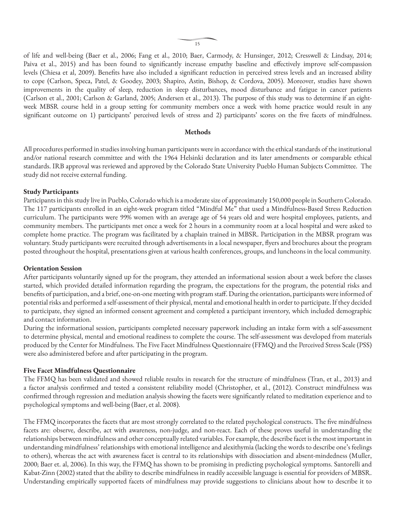of life and well-being (Baer et al., 2006; Fang et al., 2010; Baer, Carmody, & Hunsinger, 2012; Cresswell & Lindsay, 2014; Paiva et al., 2015) and has been found to significantly increase empathy baseline and effectively improve self-compassion levels (Chiesa et al, 2009). Benefits have also included a significant reduction in perceived stress levels and an increased ability to cope (Carlson, Speca, Patel, & Goodey, 2003; Shapiro, Astin, Bishop, & Cordova, 2005). Moreover, studies have shown improvements in the quality of sleep, reduction in sleep disturbances, mood disturbance and fatigue in cancer patients (Carlson et al., 2001; Carlson & Garland, 2005; Andersen et al., 2013). The purpose of this study was to determine if an eightweek MBSR course held in a group setting for community members once a week with home practice would result in any significant outcome on 1) participants' perceived levels of stress and 2) participants' scores on the five facets of mindfulness.

#### **Methods**

All procedures performed in studies involving human participants were in accordance with the ethical standards of the institutional and/or national research committee and with the 1964 Helsinki declaration and its later amendments or comparable ethical standards. IRB approval was reviewed and approved by the Colorado State University Pueblo Human Subjects Committee. The study did not receive external funding.

#### **Study Participants**

Participants in this study live in Pueblo, Colorado which is a moderate size of approximately 150,000 people in Southern Colorado. The 117 participants enrolled in an eight-week program titled "Mindful Me" that used a Mindfulness-Based Stress Reduction curriculum. The participants were 99% women with an average age of 54 years old and were hospital employees, patients, and community members. The participants met once a week for 2 hours in a community room at a local hospital and were asked to complete home practice. The program was facilitated by a chaplain trained in MBSR. Participation in the MBSR program was voluntary. Study participants were recruited through advertisements in a local newspaper, flyers and brochures about the program posted throughout the hospital, presentations given at various health conferences, groups, and luncheons in the local community.

#### **Orientation Session**

After participants voluntarily signed up for the program, they attended an informational session about a week before the classes started, which provided detailed information regarding the program, the expectations for the program, the potential risks and benefits of participation, and a brief, one-on-one meeting with program staff. During the orientation, participants were informed of potential risks and performed a self-assessment of their physical, mental and emotional health in order to participate. If they decided to participate, they signed an informed consent agreement and completed a participant inventory, which included demographic and contact information.

During the informational session, participants completed necessary paperwork including an intake form with a self-assessment to determine physical, mental and emotional readiness to complete the course. The self-assessment was developed from materials produced by the Center for Mindfulness. The Five Facet Mindfulness Questionnaire (FFMQ) and the Perceived Stress Scale (PSS) were also administered before and after participating in the program.

#### **Five Facet Mindfulness Questionnaire**

The FFMQ has been validated and showed reliable results in research for the structure of mindfulness (Tran, et al., 2013) and a factor analysis confirmed and tested a consistent reliability model (Christopher, et al., (2012). Construct mindfulness was confirmed through regression and mediation analysis showing the facets were significantly related to meditation experience and to psychological symptoms and well-being (Baer, et al. 2008).

The FFMQ incorporates the facets that are most strongly correlated to the related psychological constructs. The five mindfulness facets are: observe, describe, act with awareness, non-judge, and non-react. Each of these proves useful in understanding the relationships between mindfulness and other conceptually related variables. For example, the describe facet is the most important in understanding mindfulness' relationships with emotional intelligence and alexithymia (lacking the words to describe one's feelings to others), whereas the act with awareness facet is central to its relationships with dissociation and absent-mindedness (Muller, 2000; Baer et. al, 2006). In this way, the FFMQ has shown to be promising in predicting psychological symptoms. Santorelli and Kabat-Zinn (2002) stated that the ability to describe mindfulness in readily accessible language is essential for providers of MBSR. Understanding empirically supported facets of mindfulness may provide suggestions to clinicians about how to describe it to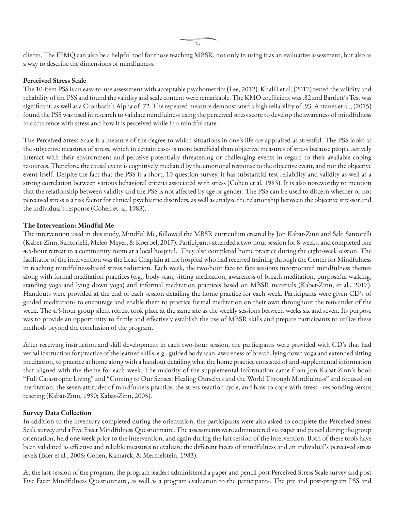clients. The FFMQ can also be a helpful tool for those teaching MBSR, not only in using it as an evaluative assessment, but also as a way to describe the dimensions of mindfulness.

#### **Perceived Stress Scale**

The 10-item PSS is an easy-to-use assessment with acceptable psychometrics (Lee, 2012). Khalili et al. (2017) tested the validity and reliability of the PSS and found the validity and scale content were remarkable. The KMO coefficient was .82 and Bartlett's Test was significant, as well as a Cronbach's Alpha of .72. The repeated measure demonstrated a high reliability of .93. Antanes et al., (2015) found the PSS was used in research to validate mindfulness using the perceived stress score to develop the awareness of mindfulness in occurrence with stress and how it is perceived while in a mindful state.

The Perceived Stress Scale is a measure of the degree to which situations in one's life are appraised as stressful. The PSS looks at the subjective measures of stress, which in certain cases is more beneficial than objective measures of stress because people actively interact with their environment and perceive potentially threatening or challenging events in regard to their available coping resources. Therefore, the causal event is cognitively mediated by the emotional response to the objective event, and not the objective event itself. Despite the fact that the PSS is a short, 10 question survey, it has substantial test reliability and validity as well as a strong correlation between various behavioral criteria associated with stress (Cohen et al, 1983). It is also noteworthy to mention that the relationship between validity and the PSS is not affected by age or gender. The PSS can be used to discern whether or not perceived stress is a risk factor for clinical psychiatric disorders, as well as analyze the relationship between the objective stressor and the individual's response (Cohen et. al, 1983).

#### **The Intervention: Mindful Me**

The intervention used in this study, Mindful Me, followed the MBSR curriculum created by Jon Kabat-Zinn and Saki Santorelli (Kabet-Zinn, Santorielli, Meleo-Meyer, & Koerbel, 2017). Participants attended a two-hour session for 8-weeks, and completed one 4.5-hour retreat in a community room at a local hospital. They also completed home practice during the eight-week session. The facilitator of the intervention was the Lead Chaplain at the hospital who had received training through the Center for Mindfulness in teaching mindfulness-based stress reduction. Each week, the two-hour face to face sessions incorporated mindfulness themes along with formal meditation practices (e.g., body scan, sitting meditation, awareness of breath meditation, purposeful walking, standing yoga and lying down yoga) and informal meditation practices based on MBSR materials (Kabet-Zinn, et al., 2017). Handouts were provided at the end of each session detailing the home practice for each week. Participants were given CD's of guided meditations to encourage and enable them to practice formal meditation on their own throughout the remainder of the week. The 4.5-hour group silent retreat took place at the same site as the weekly sessions between weeks six and seven. Its purpose was to provide an opportunity to firmly and effectively establish the use of MBSR skills and prepare participants to utilize these methods beyond the conclusion of the program.

After receiving instruction and skill development in each two-hour session, the participants were provided with CD's that had verbal instruction for practice of the learned skills, e.g., guided body scan, awareness of breath, lying down yoga and extended sitting meditation, to practice at home along with a handout detailing what the home practice consisted of and supplemental information that aligned with the theme for each week. The majority of the supplemental information came from Jon Kabat-Zinn's book "Full Catastrophe Living" and "Coming to Our Senses: Healing Ourselves and the World Through Mindfulness" and focused on meditation, the seven attitudes of mindfulness practice, the stress-reaction cycle, and how to cope with stress - responding versus reacting (Kabat-Zinn, 1990; Kabat-Zinn, 2005).

#### **Survey Data Collection**

In addition to the inventory completed during the orientation, the participants were also asked to complete the Perceived Stress Scale survey and a Five Facet Mindfulness Questionnaire. The assessments were administered via paper and pencil during the group orientation, held one week prior to the intervention, and again during the last session of the intervention. Both of these tools have been validated as effective and reliable measures to evaluate the different facets of mindfulness and an individual's perceived stress levels (Baer et al., 2006; Cohen, Kamarck, & Mermelstein, 1983).

At the last session of the program, the program leaders administered a paper and pencil post Perceived Stress Scale survey and post Five Facet Mindfulness Questionnaire, as well as a program evaluation to the participants. The pre and post-program PSS and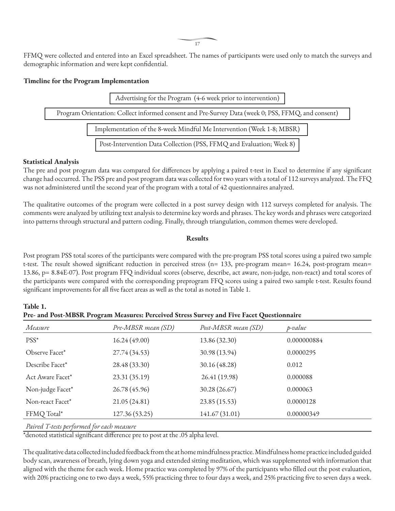FFMQ were collected and entered into an Excel spreadsheet. The names of participants were used only to match the surveys and demographic information and were kept confidential.

#### **Timeline for the Program Implementation**



#### **Statistical Analysis**

The pre and post program data was compared for differences by applying a paired t-test in Excel to determine if any significant change had occurred. The PSS pre and post program data was collected for two years with a total of 112 surveys analyzed. The FFQ was not administered until the second year of the program with a total of 42 questionnaires analyzed.

The qualitative outcomes of the program were collected in a post survey design with 112 surveys completed for analysis. The comments were analyzed by utilizing text analysis to determine key words and phrases. The key words and phrases were categorized into patterns through structural and pattern coding. Finally, through triangulation, common themes were developed.

#### **Results**

Post program PSS total scores of the participants were compared with the pre-program PSS total scores using a paired two sample t-test. The result showed significant reduction in perceived stress (n= 133, pre-program mean= 16.24, post-program mean= 13.86, p= 8.84E-07). Post program FFQ individual scores (observe, describe, act aware, non-judge, non-react) and total scores of the participants were compared with the corresponding preprogram FFQ scores using a paired two sample t-test. Results found significant improvements for all five facet areas as well as the total as noted in Table 1.

**Table 1. Pre- and Post-MBSR Program Measures: Perceived Stress Survey and Five Facet Questionnaire**

| $\tilde{\phantom{a}}$                          |                    |                     |             |
|------------------------------------------------|--------------------|---------------------|-------------|
| Measure                                        | Pre-MBSR mean (SD) | Post-MBSR mean (SD) | p-value     |
| PSS*                                           | 16.24(49.00)       | 13.86 (32.30)       | 0.000000884 |
| Observe Facet*                                 | 27.74(34.53)       | 30.98 (13.94)       | 0.0000295   |
| Describe Facet*                                | 28.48 (33.30)      | 30.16 (48.28)       | 0.012       |
| Act Aware Facet*                               | 23.31(35.19)       | 26.41 (19.98)       | 0.000088    |
| Non-judge Facet*                               | 26.78 (45.96)      | 30.28(26.67)        | 0.000063    |
| Non-react Facet*                               | 21.05(24.81)       | 23.85 (15.53)       | 0.0000128   |
| FFMQ Total*                                    | 127.36 (53.25)     | 141.67 (31.01)      | 0.00000349  |
| $D: I T \cdot \cdot \cdot C \cdot I C \cdot I$ |                    |                     |             |

*Paired T-tests performed for each measure*

 $^\ast$ denoted statistical significant difference pre to post at the .05 alpha level.

The qualitative data collected included feedback from the at home mindfulness practice. Mindfulness home practice included guided body scan, awareness of breath, lying down yoga and extended sitting meditation, which was supplemented with information that aligned with the theme for each week. Home practice was completed by 97% of the participants who filled out the post evaluation, with 20% practicing one to two days a week, 55% practicing three to four days a week, and 25% practicing five to seven days a week.

17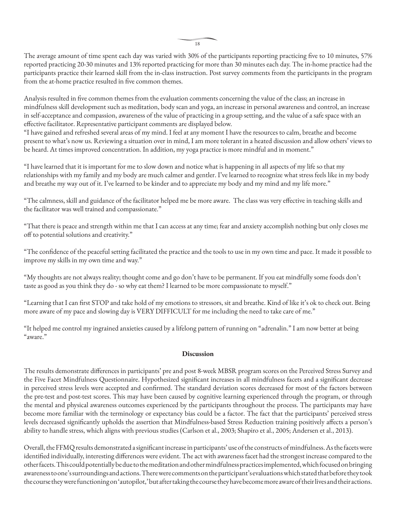The average amount of time spent each day was varied with 30% of the participants reporting practicing five to 10 minutes, 57% reported practicing 20-30 minutes and 13% reported practicing for more than 30 minutes each day. The in-home practice had the participants practice their learned skill from the in-class instruction. Post survey comments from the participants in the program from the at-home practice resulted in five common themes.

Analysis resulted in five common themes from the evaluation comments concerning the value of the class; an increase in mindfulness skill development such as meditation, body scan and yoga, an increase in personal awareness and control, an increase in self-acceptance and compassion, awareness of the value of practicing in a group setting, and the value of a safe space with an effective facilitator. Representative participant comments are displayed below.

"I have gained and refreshed several areas of my mind. I feel at any moment I have the resources to calm, breathe and become present to what's now us. Reviewing a situation over in mind, I am more tolerant in a heated discussion and allow others' views to be heard. At times improved concentration. In addition, my yoga practice is more mindful and in moment."

"I have learned that it is important for me to slow down and notice what is happening in all aspects of my life so that my relationships with my family and my body are much calmer and gentler. I've learned to recognize what stress feels like in my body and breathe my way out of it. I've learned to be kinder and to appreciate my body and my mind and my life more."

"The calmness, skill and guidance of the facilitator helped me be more aware. The class was very effective in teaching skills and the facilitator was well trained and compassionate."

"That there is peace and strength within me that I can access at any time; fear and anxiety accomplish nothing but only closes me off to potential solutions and creativity."

"The confidence of the peaceful setting facilitated the practice and the tools to use in my own time and pace. It made it possible to improve my skills in my own time and way."

"My thoughts are not always reality; thought come and go don't have to be permanent. If you eat mindfully some foods don't taste as good as you think they do - so why eat them? I learned to be more compassionate to myself."

"Learning that I can first STOP and take hold of my emotions to stressors, sit and breathe. Kind of like it's ok to check out. Being more aware of my pace and slowing day is VERY DIFFICULT for me including the need to take care of me."

"It helped me control my ingrained anxieties caused by a lifelong pattern of running on "adrenalin." I am now better at being "aware."

#### **Discussion**

The results demonstrate differences in participants' pre and post 8-week MBSR program scores on the Perceived Stress Survey and the Five Facet Mindfulness Questionnaire. Hypothesized significant increases in all mindfulness facets and a significant decrease in perceived stress levels were accepted and confirmed. The standard deviation scores decreased for most of the factors between the pre-test and post-test scores. This may have been caused by cognitive learning experienced through the program, or through the mental and physical awareness outcomes experienced by the participants throughout the process. The participants may have become more familiar with the terminology or expectancy bias could be a factor. The fact that the participants' perceived stress levels decreased significantly upholds the assertion that Mindfulness-based Stress Reduction training positively affects a person's ability to handle stress, which aligns with previous studies (Carlson et al., 2003; Shapiro et al., 2005; Andersen et al., 2013).

Overall, the FFMQ results demonstrated a significant increase in participants' use of the constructs of mindfulness. As the facets were identified individually, interesting differences were evident. The act with awareness facet had the strongest increase compared to the other facets. This could potentially be due to the meditation and other mindfulness practices implemented, which focused on bringing awareness to one's surroundings and actions. There were comments on the participant's evaluations which stated that before they took the course they were functioning on 'autopilot,' but after taking the course they have become more aware of their lives and their actions.

18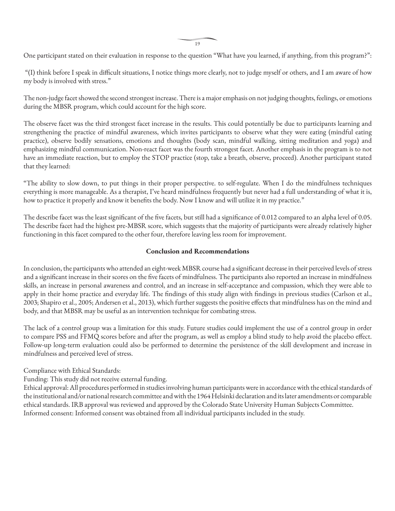19

One participant stated on their evaluation in response to the question "What have you learned, if anything, from this program?":

 "(I) think before I speak in difficult situations, I notice things more clearly, not to judge myself or others, and I am aware of how my body is involved with stress."

The non-judge facet showed the second strongest increase. There is a major emphasis on not judging thoughts, feelings, or emotions during the MBSR program, which could account for the high score.

The observe facet was the third strongest facet increase in the results. This could potentially be due to participants learning and strengthening the practice of mindful awareness, which invites participants to observe what they were eating (mindful eating practice), observe bodily sensations, emotions and thoughts (body scan, mindful walking, sitting meditation and yoga) and emphasizing mindful communication. Non-react facet was the fourth strongest facet. Another emphasis in the program is to not have an immediate reaction, but to employ the STOP practice (stop, take a breath, observe, proceed). Another participant stated that they learned:

"The ability to slow down, to put things in their proper perspective. to self-regulate. When I do the mindfulness techniques everything is more manageable. As a therapist, I've heard mindfulness frequently but never had a full understanding of what it is, how to practice it properly and know it benefits the body. Now I know and will utilize it in my practice."

The describe facet was the least significant of the five facets, but still had a significance of 0.012 compared to an alpha level of 0.05. The describe facet had the highest pre-MBSR score, which suggests that the majority of participants were already relatively higher functioning in this facet compared to the other four, therefore leaving less room for improvement.

#### **Conclusion and Recommendations**

In conclusion, the participants who attended an eight-week MBSR course had a significant decrease in their perceived levels of stress and a significant increase in their scores on the five facets of mindfulness. The participants also reported an increase in mindfulness skills, an increase in personal awareness and control, and an increase in self-acceptance and compassion, which they were able to apply in their home practice and everyday life. The findings of this study align with findings in previous studies (Carlson et al., 2003; Shapiro et al., 2005; Andersen et al., 2013), which further suggests the positive effects that mindfulness has on the mind and body, and that MBSR may be useful as an intervention technique for combating stress.

The lack of a control group was a limitation for this study. Future studies could implement the use of a control group in order to compare PSS and FFMQ scores before and after the program, as well as employ a blind study to help avoid the placebo effect. Follow-up long-term evaluation could also be performed to determine the persistence of the skill development and increase in mindfulness and perceived level of stress.

Compliance with Ethical Standards:

Funding: This study did not receive external funding.

Ethical approval: All procedures performed in studies involving human participants were in accordance with the ethical standards of the institutional and/or national research committee and with the 1964 Helsinki declaration and its later amendments or comparable ethical standards. IRB approval was reviewed and approved by the Colorado State University Human Subjects Committee. Informed consent: Informed consent was obtained from all individual participants included in the study.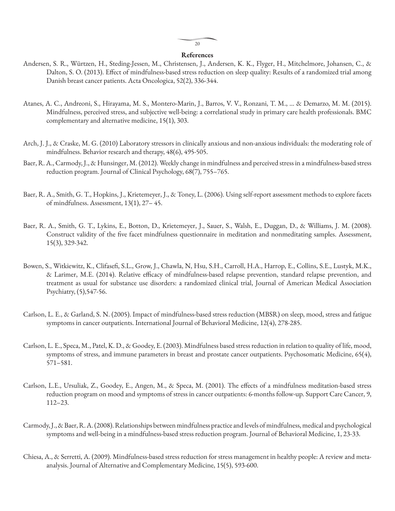#### $20$

#### **References**

- Andersen, S. R., Würtzen, H., Steding-Jessen, M., Christensen, J., Andersen, K. K., Flyger, H., Mitchelmore, Johansen, C., & Dalton, S. O. (2013). Effect of mindfulness-based stress reduction on sleep quality: Results of a randomized trial among Danish breast cancer patients. Acta Oncologica, 52(2), 336-344.
- Atanes, A. C., Andreoni, S., Hirayama, M. S., Montero-Marin, J., Barros, V. V., Ronzani, T. M., ... & Demarzo, M. M. (2015). Mindfulness, perceived stress, and subjective well-being: a correlational study in primary care health professionals. BMC complementary and alternative medicine, 15(1), 303.
- Arch, J. J., & Craske, M. G. (2010) Laboratory stressors in clinically anxious and non-anxious individuals: the moderating role of mindfulness. Behavior research and therapy, 48(6), 495-505.
- Baer, R. A., Carmody, J., & Hunsinger, M. (2012). Weekly change in mindfulness and perceived stress in a mindfulness-based stress reduction program. Journal of Clinical Psychology, 68(7), 755–765.
- Baer, R. A., Smith, G. T., Hopkins, J., Krietemeyer, J., & Toney, L. (2006). Using self-report assessment methods to explore facets of mindfulness. Assessment, 13(1), 27– 45.
- Baer, R. A., Smith, G. T., Lykins, E., Botton, D., Krietemeyer, J., Sauer, S., Walsh, E., Duggan, D., & Williams, J. M. (2008). Construct validity of the five facet mindfulness questionnaire in meditation and nonmeditating samples. Assessment, 15(3), 329-342.
- Bowen, S., Witkiewitz, K., Clifasefi, S.L., Grow, J., Chawla, N, Hsu, S.H., Carroll, H.A., Harrop, E., Collins, S.E., Lustyk, M.K., & Larimer, M.E. (2014). Relative efficacy of mindfulness-based relapse prevention, standard relapse prevention, and treatment as usual for substance use disorders: a randomized clinical trial, Journal of American Medical Association Psychiatry, (5),547-56.
- Carlson, L. E., & Garland, S. N. (2005). Impact of mindfulness-based stress reduction (MBSR) on sleep, mood, stress and fatigue symptoms in cancer outpatients. International Journal of Behavioral Medicine, 12(4), 278-285.
- Carlson, L. E., Speca, M., Patel, K. D., & Goodey, E. (2003). Mindfulness based stress reduction in relation to quality of life, mood, symptoms of stress, and immune parameters in breast and prostate cancer outpatients. Psychosomatic Medicine, 65(4), 571–581.
- Carlson, L.E., Ursuliak, Z., Goodey, E., Angen, M., & Speca, M. (2001). The effects of a mindfulness meditation-based stress reduction program on mood and symptoms of stress in cancer outpatients: 6-months follow-up. Support Care Cancer, 9, 112–23.
- Carmody, J., & Baer, R. A. (2008). Relationships between mindfulness practice and levels of mindfulness, medical and psychological symptoms and well-being in a mindfulness-based stress reduction program. Journal of Behavioral Medicine, 1, 23-33.
- Chiesa, A., & Serretti, A. (2009). Mindfulness-based stress reduction for stress management in healthy people: A review and metaanalysis. Journal of Alternative and Complementary Medicine, 15(5), 593-600.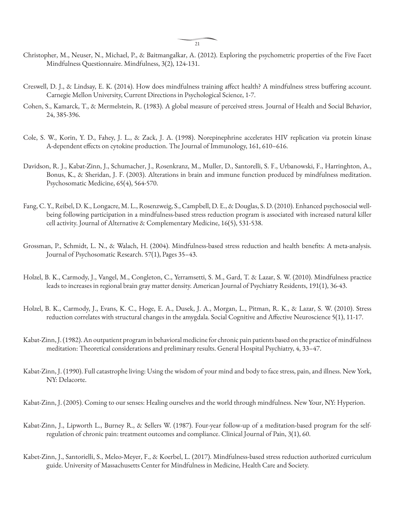- Christopher, M., Neuser, N., Michael, P., & Baitmangalkar, A. (2012). Exploring the psychometric properties of the Five Facet Mindfulness Questionnaire. Mindfulness, 3(2), 124-131.
- Creswell, D. J., & Lindsay, E. K. (2014). How does mindfulness training affect health? A mindfulness stress buffering account. Carnegie Mellon University, Current Directions in Psychological Science, 1-7.
- Cohen, S., Kamarck, T., & Mermelstein, R. (1983). A global measure of perceived stress. Journal of Health and Social Behavior, 24, 385-396.
- Cole, S. W., Korin, Y. D., Fahey, J. L., & Zack, J. A. (1998). Norepinephrine accelerates HIV replication via protein kinase A-dependent effects on cytokine production. The Journal of Immunology, 161, 610–616.
- Davidson, R. J., Kabat-Zinn, J., Schumacher, J., Rosenkranz, M., Muller, D., Santorelli, S. F., Urbanowski, F., Harringhton, A., Bonus, K., & Sheridan, J. F. (2003). Alterations in brain and immune function produced by mindfulness meditation. Psychosomatic Medicine, 65(4), 564-570.
- Fang, C. Y., Reibel, D. K., Longacre, M. L., Rosenzweig, S., Campbell, D. E., & Douglas, S. D. (2010). Enhanced psychosocial wellbeing following participation in a mindfulness-based stress reduction program is associated with increased natural killer cell activity. Journal of Alternative & Complementary Medicine, 16(5), 531-538.
- Grossman, P., Schmidt, L. N., & Walach, H. (2004). Mindfulness-based stress reduction and health benefits: A meta-analysis. Journal of Psychosomatic Research. 57(1), Pages 35–43.
- Holzel, B. K., Carmody, J., Vangel, M., Congleton, C., Yerramsetti, S. M., Gard, T. & Lazar, S. W. (2010). Mindfulness practice leads to increases in regional brain gray matter density. American Journal of Psychiatry Residents, 191(1), 36-43.
- Holzel, B. K., Carmody, J., Evans, K. C., Hoge, E. A., Dusek, J. A., Morgan, L., Pitman, R. K., & Lazar, S. W. (2010). Stress reduction correlates with structural changes in the amygdala. Social Cognitive and Affective Neuroscience 5(1), 11-17.
- Kabat-Zinn, J. (1982). An outpatient program in behavioral medicine for chronic pain patients based on the practice of mindfulness meditation: Theoretical considerations and preliminary results. General Hospital Psychiatry, 4, 33–47.
- Kabat-Zinn, J. (1990). Full catastrophe living: Using the wisdom of your mind and body to face stress, pain, and illness. New York, NY: Delacorte.

Kabat-Zinn, J. (2005). Coming to our senses: Healing ourselves and the world through mindfulness. New Your, NY: Hyperion.

- Kabat-Zinn, J., Lipworth L., Burney R., & Sellers W. (1987). Four-year follow-up of a meditation-based program for the selfregulation of chronic pain: treatment outcomes and compliance. Clinical Journal of Pain, 3(1), 60.
- Kabet-Zinn, J., Santorielli, S., Meleo-Meyer, F., & Koerbel, L. (2017). Mindfulness-based stress reduction authorized curriculum guide. University of Massachusetts Center for Mindfulness in Medicine, Health Care and Society.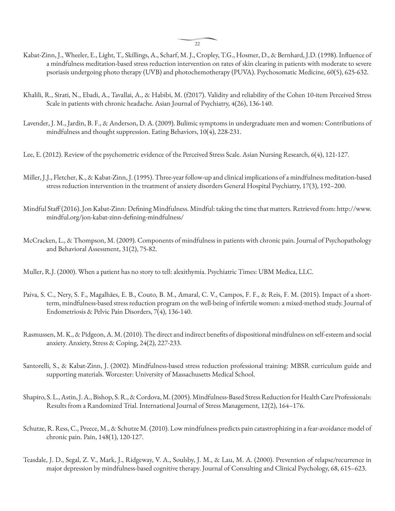$22$ 

- Kabat-Zinn, J., Wheeler, E., Light, T., Skillings, A., Scharf, M. J., Cropley, T.G., Hosmer, D., & Bernhard, J.D. (1998). Influence of a mindfulness meditation-based stress reduction intervention on rates of skin clearing in patients with moderate to severe psoriasis undergoing photo therapy (UVB) and photochemotherapy (PUVA). Psychosomatic Medicine, 60(5), 625-632.
- Khalili, R., Sirati, N., Ebadi, A., Tavallai, A., & Habibi, M. (f2017). Validity and reliability of the Cohen 10-item Perceived Stress Scale in patients with chronic headache. Asian Journal of Psychiatry, 4(26), 136-140.
- Lavender, J. M., Jardin, B. F., & Anderson, D. A. (2009). Bulimic symptoms in undergraduate men and women: Contributions of mindfulness and thought suppression. Eating Behaviors, 10(4), 228-231.
- Lee, E. (2012). Review of the psychometric evidence of the Perceived Stress Scale. Asian Nursing Research, 6(4), 121-127.
- Miller, J.J., Fletcher, K., & Kabat-Zinn, J. (1995). Three-year follow-up and clinical implications of a mindfulness meditation-based stress reduction intervention in the treatment of anxiety disorders General Hospital Psychiatry, 17(3), 192–200.
- Mindful Staff (2016). Jon Kabat-Zinn: Defining Mindfulness. Mindful: taking the time that matters. Retrieved from: http://www. mindful.org/jon-kabat-zinn-defining-mindfulness/
- McCracken, L., & Thompson, M. (2009). Components of mindfulness in patients with chronic pain. Journal of Psychopathology and Behavioral Assessment, 31(2), 75-82.
- Muller, R.J. (2000). When a patient has no story to tell: alexithymia. Psychiatric Times: UBM Medica, LLC.
- Paiva, S. C., Nery, S. F., Magalhães, E. B., Couto, B. M., Amaral, C. V., Campos, F. F., & Reis, F. M. (2015). Impact of a shortterm, mindfulness-based stress reduction program on the well-being of infertile women: a mixed-method study. Journal of Endometriosis & Pelvic Pain Disorders, 7(4), 136-140.
- Rasmussen, M. K., & Pidgeon, A. M. (2010). The direct and indirect benefits of dispositional mindfulness on self-esteem and social anxiety. Anxiety, Stress & Coping, 24(2), 227-233.
- Santorelli, S., & Kabat-Zinn, J. (2002). Mindfulness-based stress reduction professional training: MBSR curriculum guide and supporting materials. Worcester: University of Massachusetts Medical School.
- Shapiro, S. L., Astin, J. A., Bishop, S. R., & Cordova, M. (2005). Mindfulness-Based Stress Reduction for Health Care Professionals: Results from a Randomized Trial. International Journal of Stress Management, 12(2), 164–176.
- Schutze, R. Ress, C., Preece, M., & Schutze M. (2010). Low mindfulness predicts pain catastrophizing in a fear-avoidance model of chronic pain. Pain, 148(1), 120-127.
- Teasdale, J. D., Segal, Z. V., Mark, J., Ridgeway, V. A., Soulsby, J. M., & Lau, M. A. (2000). Prevention of relapse/recurrence in major depression by mindfulness-based cognitive therapy. Journal of Consulting and Clinical Psychology, 68, 615–623.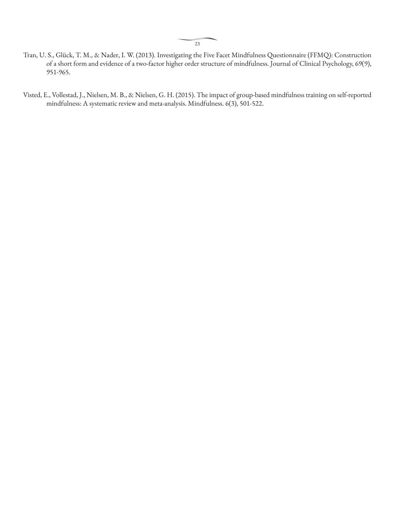- Tran, U. S., Glück, T. M., & Nader, I. W. (2013). Investigating the Five Facet Mindfulness Questionnaire (FFMQ): Construction of a short form and evidence of a two-factor higher order structure of mindfulness. Journal of Clinical Psychology, 69(9), 951-965.
- Visted, E., Vollestad, J., Nielsen, M. B., & Nielsen, G. H. (2015). The impact of group-based mindfulness training on self-reported mindfulness: A systematic review and meta-analysis. Mindfulness. 6(3), 501-522.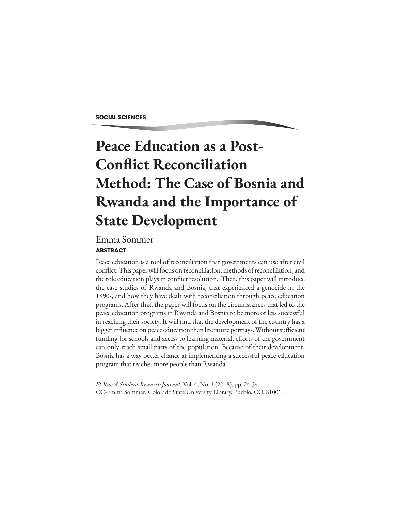**SOCIAL SCIENCES**

# **Peace Education as a Post-Conflict Reconciliation Method: The Case of Bosnia and Rwanda and the Importance of State Development**

### **ABSTRACT**  Emma Sommer

Peace education is a tool of reconciliation that governments can use after civil conflict. This paper will focus on reconciliation, methods of reconciliation, and the role education plays in conflict resolution. Then, this paper will introduce the case studies of Rwanda and Bosnia, that experienced a genocide in the 1990s, and how they have dealt with reconciliation through peace education programs. After that, the paper will focus on the circumstances that led to the peace education programs in Rwanda and Bosnia to be more or less successful in reaching their society. It will find that the development of the country has a bigger influence on peace education than literature portrays. Without sufficient funding for schools and access to learning material, efforts of the government can only reach small parts of the population. Because of their development, Bosnia has a way better chance at implementing a successful peace education program that reaches more people than Rwanda.

*El Rio: A Student Research Journal.* Vol. 4, No. 1 (2018), pp. 24-34. CC-Emma Sommer. Colorado State University Library, Pueblo, CO, 81001.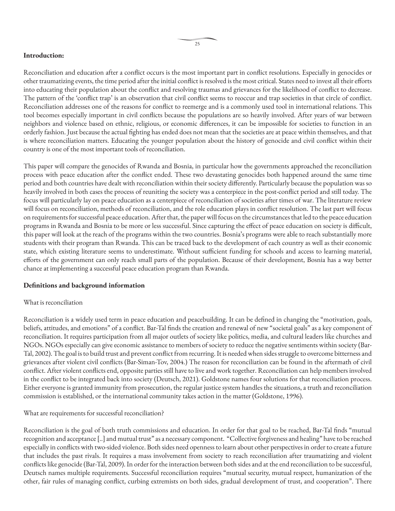#### **Introduction:**

Reconciliation and education after a conflict occurs is the most important part in conflict resolutions. Especially in genocides or other traumatizing events, the time period after the initial conflict is resolved is the most critical. States need to invest all their efforts into educating their population about the conflict and resolving traumas and grievances for the likelihood of conflict to decrease. The pattern of the 'conflict trap' is an observation that civil conflict seems to reoccur and trap societies in that circle of conflict. Reconciliation addresses one of the reasons for conflict to reemerge and is a commonly used tool in international relations. This tool becomes especially important in civil conflicts because the populations are so heavily involved. After years of war between neighbors and violence based on ethnic, religious, or economic differences, it can be impossible for societies to function in an orderly fashion. Just because the actual fighting has ended does not mean that the societies are at peace within themselves, and that is where reconciliation matters. Educating the younger population about the history of genocide and civil conflict within their country is one of the most important tools of reconciliation.

This paper will compare the genocides of Rwanda and Bosnia, in particular how the governments approached the reconciliation process with peace education after the conflict ended. These two devastating genocides both happened around the same time period and both countries have dealt with reconciliation within their society differently. Particularly because the population was so heavily involved in both cases the process of reuniting the society was a centerpiece in the post-conflict period and still today. The focus will particularly lay on peace education as a centerpiece of reconciliation of societies after times of war. The literature review will focus on reconciliation, methods of reconciliation, and the role education plays in conflict resolution. The last part will focus on requirements for successful peace education. After that, the paper will focus on the circumstances that led to the peace education programs in Rwanda and Bosnia to be more or less successful. Since capturing the effect of peace education on society is difficult, this paper will look at the reach of the programs within the two countries. Bosnia's programs were able to reach substantially more students with their program than Rwanda. This can be traced back to the development of each country as well as their economic state, which existing literature seems to underestimate. Without sufficient funding for schools and access to learning material, efforts of the government can only reach small parts of the population. Because of their development, Bosnia has a way better chance at implementing a successful peace education program than Rwanda.

#### **Definitions and background information**

#### What is reconciliation

Reconciliation is a widely used term in peace education and peacebuilding. It can be defined in changing the "motivation, goals, beliefs, attitudes, and emotions" of a conflict. Bar-Tal finds the creation and renewal of new "societal goals" as a key component of reconciliation. It requires participation from all major outlets of society like politics, media, and cultural leaders like churches and NGOs. NGOs especially can give economic assistance to members of society to reduce the negative sentiments within society (Bar-Tal, 2002). The goal is to build trust and prevent conflict from recurring. It is needed when sides struggle to overcome bitterness and grievances after violent civil conflicts (Bar-Siman-Tov, 2004.) The reason for reconciliation can be found in the aftermath of civil conflict. After violent conflicts end, opposite parties still have to live and work together. Reconciliation can help members involved in the conflict to be integrated back into society (Deutsch, 2021). Goldstone names four solutions for that reconciliation process. Either everyone is granted immunity from prosecution, the regular justice system handles the situations, a truth and reconciliation commission is established, or the international community takes action in the matter (Goldstone, 1996).

#### What are requirements for successful reconciliation?

Reconciliation is the goal of both truth commissions and education. In order for that goal to be reached, Bar-Tal finds "mutual recognition and acceptance [..] and mutual trust" as a necessary component. "Collective forgiveness and healing" have to be reached especially in conflicts with two-sided violence. Both sides need openness to learn about other perspectives in order to create a future that includes the past rivals. It requires a mass involvement from society to reach reconciliation after traumatizing and violent conflicts like genocide (Bar-Tal, 2009). In order for the interaction between both sides and at the end reconciliation to be successful, Deutsch names multiple requirements. Successful reconciliation requires "mutual security, mutual respect, humanization of the other, fair rules of managing conflict, curbing extremists on both sides, gradual development of trust, and cooperation". There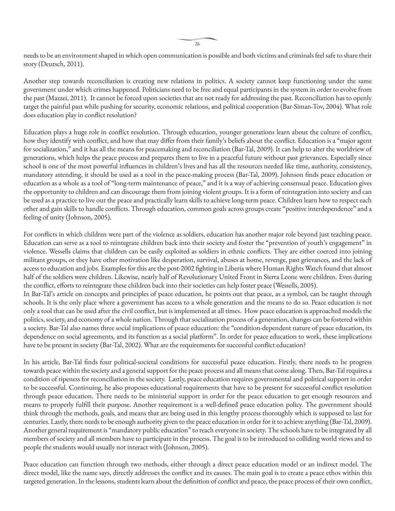26

needs to be an environment shaped in which open communication is possible and both victims and criminals feel safe to share their story (Deutsch, 2011).

Another step towards reconciliation is creating new relations in politics. A society cannot keep functioning under the same government under which crimes happened. Politicians need to be free and equal participants in the system in order to evolve from the past (Mazzei, 2011). It cannot be forced upon societies that are not ready for addressing the past. Reconciliation has to openly target the painful past while pushing for security, economic relations, and political cooperation (Bar-Siman-Tov, 2004). What role does education play in conflict resolution?

Education plays a huge role in conflict resolution. Through education, younger generations learn about the culture of conflict, how they identify with conflict, and how that may differ from their family's beliefs about the conflict. Education is a "major agent for socialization," and it has all the means for peacemaking and reconciliation (Bar-Tal, 2009). It can help to alter the worldview of generations, which helps the peace process and prepares them to live in a peaceful future without past grievances. Especially since school is one of the most powerful influences in children's lives and has all the resources needed like time, authority, consistency, mandatory attending, it should be used as a tool in the peace-making process (Bar-Tal, 2009). Johnson finds peace education or education as a whole as a tool of "long-term maintenance of peace," and it is a way of achieving consensual peace. Education gives the opportunity to children and can discourage them from joining violent groups. It is a form of reintegration into society and can be used as a practice to live out the peace and practically learn skills to achieve long-term peace. Children learn how to respect each other and gain skills to handle conflicts. Through education, common goals across groups create "positive interdependence" and a feeling of unity (Johnson, 2005).

For conflicts in which children were part of the violence as soldiers, education has another major role beyond just teaching peace. Education can serve as a tool to reintegrate children back into their society and foster the "prevention of youth's engagement" in violence. Wessells claims that children can be easily exploited as soldiers in ethnic conflicts. They are either coerced into joining militant groups, or they have other motivation like desperation, survival, abuses at home, revenge, past grievances, and the lack of access to education and jobs. Examples for this are the post-2002 fighting in Liberia where Human Rights Watch found that almost half of the soldiers were children. Likewise, nearly half of Revolutionary United Front in Sierra Leone were children. Even during the conflict, efforts to reintegrate these children back into their societies can help foster peace (Wessells, 2005). In Bar-Tal's article on concepts and principles of peace education, he points out that peace, as a symbol, can be taught through schools. It is the only place where a government has access to a whole generation and the means to do so. Peace education is not only a tool that can be used after the civil conflict, but is implemented at all times. How peace education is approached models the politics, society, and economy of a whole nation. Through that socialization process of a generation, changes can be fostered within a society. Bar-Tal also names three social implications of peace education: the "condition-dependent nature of peace education, its dependence on social agreements, and its function as a social platform". In order for peace education to work, these implications

In his article, Bar-Tal finds four political-societal conditions for successful peace education. Firstly, there needs to be progress towards peace within the society and a general support for the peace process and all means that come along. Then, Bar-Tal requires a condition of ripeness for reconciliation in the society. Lastly, peace education requires governmental and political support in order to be successful. Continuing, he also proposes educational requirements that have to be present for successful conflict resolution through peace education. There needs to be ministerial support in order for the peace education to get enough resources and means to properly fulfill their purpose. Another requirement is a well-defined peace education policy. The government should think through the methods, goals, and means that are being used in this lengthy process thoroughly which is supposed to last for centuries. Lastly, there needs to be enough authority given to the peace education in order for it to achieve anything (Bar-Tal, 2009). Another general requirement is "mandatory public education" to reach everyone in society. The schools have to be integrated by all members of society and all members have to participate in the process. The goal is to be introduced to colliding world views and to people the students would usually not interact with (Johnson, 2005).

have to be present in society (Bar-Tal, 2002). What are the requirements for successful conflict education?

Peace education can function through two methods, either through a direct peace education model or an indirect model. The direct model, like the name says, directly addresses the conflict and its causes. The main goal is to create a peace ethos within this targeted generation. In the lessons, students learn about the definition of conflict and peace, the peace process of their own conflict,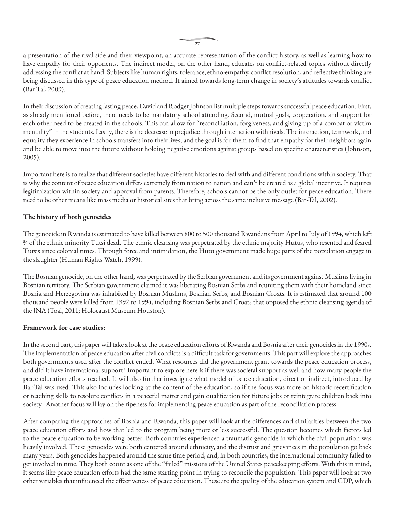a presentation of the rival side and their viewpoint, an accurate representation of the conflict history, as well as learning how to have empathy for their opponents. The indirect model, on the other hand, educates on conflict-related topics without directly addressing the conflict at hand. Subjects like human rights, tolerance, ethno-empathy, conflict resolution, and reflective thinking are being discussed in this type of peace education method. It aimed towards long-term change in society's attitudes towards conflict (Bar-Tal, 2009).

In their discussion of creating lasting peace, David and Rodger Johnson list multiple steps towards successful peace education. First, as already mentioned before, there needs to be mandatory school attending. Second, mutual goals, cooperation, and support for each other need to be created in the schools. This can allow for "reconciliation, forgiveness, and giving up of a combat or victim mentality" in the students. Lastly, there is the decrease in prejudice through interaction with rivals. The interaction, teamwork, and equality they experience in schools transfers into their lives, and the goal is for them to find that empathy for their neighbors again and be able to move into the future without holding negative emotions against groups based on specific characteristics (Johnson, 2005).

Important here is to realize that different societies have different histories to deal with and different conditions within society. That is why the content of peace education differs extremely from nation to nation and can't be created as a global incentive. It requires legitimization within society and approval from parents. Therefore, schools cannot be the only outlet for peace education. There need to be other means like mass media or historical sites that bring across the same inclusive message (Bar-Tal, 2002).

#### **The history of both genocides**

The genocide in Rwanda is estimated to have killed between 800 to 500 thousand Rwandans from April to July of 1994, which left ¾ of the ethnic minority Tutsi dead. The ethnic cleansing was perpetrated by the ethnic majority Hutus, who resented and feared Tutsis since colonial times. Through force and intimidation, the Hutu government made huge parts of the population engage in the slaughter (Human Rights Watch, 1999).

The Bosnian genocide, on the other hand, was perpetrated by the Serbian government and its government against Muslims living in Bosnian territory. The Serbian government claimed it was liberating Bosnian Serbs and reuniting them with their homeland since Bosnia and Herzegovina was inhabited by Bosnian Muslims, Bosnian Serbs, and Bosnian Croats. It is estimated that around 100 thousand people were killed from 1992 to 1994, including Bosnian Serbs and Croats that opposed the ethnic cleansing agenda of the JNA (Toal, 2011; Holocaust Museum Houston).

#### **Framework for case studies:**

In the second part, this paper will take a look at the peace education efforts of Rwanda and Bosnia after their genocides in the 1990s. The implementation of peace education after civil conflicts is a difficult task for governments. This part will explore the approaches both governments used after the conflict ended. What resources did the government grant towards the peace education process, and did it have international support? Important to explore here is if there was societal support as well and how many people the peace education efforts reached. It will also further investigate what model of peace education, direct or indirect, introduced by Bar-Tal was used. This also includes looking at the content of the education, so if the focus was more on historic recertification or teaching skills to resolute conflicts in a peaceful matter and gain qualification for future jobs or reintegrate children back into society. Another focus will lay on the ripeness for implementing peace education as part of the reconciliation process.

After comparing the approaches of Bosnia and Rwanda, this paper will look at the differences and similarities between the two peace education efforts and how that led to the program being more or less successful. The question becomes which factors led to the peace education to be working better. Both countries experienced a traumatic genocide in which the civil population was heavily involved. These genocides were both centered around ethnicity, and the distrust and grievances in the population go back many years. Both genocides happened around the same time period, and, in both countries, the international community failed to get involved in time. They both count as one of the "failed" missions of the United States peacekeeping efforts. With this in mind, it seems like peace education efforts had the same starting point in trying to reconcile the population. This paper will look at two other variables that influenced the effectiveness of peace education. These are the quality of the education system and GDP, which

 $27$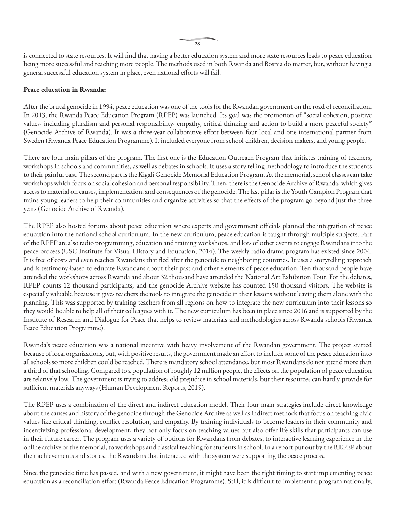is connected to state resources. It will find that having a better education system and more state resources leads to peace education being more successful and reaching more people. The methods used in both Rwanda and Bosnia do matter, but, without having a general successful education system in place, even national efforts will fail.

#### **Peace education in Rwanda:**

After the brutal genocide in 1994, peace education was one of the tools for the Rwandan government on the road of reconciliation. In 2013, the Rwanda Peace Education Program (RPEP) was launched. Its goal was the promotion of "social cohesion, positive values- including pluralism and personal responsibility- empathy, critical thinking and action to build a more peaceful society" (Genocide Archive of Rwanda). It was a three-year collaborative effort between four local and one international partner from Sweden (Rwanda Peace Education Programme). It included everyone from school children, decision makers, and young people.

There are four main pillars of the program. The first one is the Education Outreach Program that initiates training of teachers, workshops in schools and communities, as well as debates in schools. It uses a story telling methodology to introduce the students to their painful past. The second part is the Kigali Genocide Memorial Education Program. At the memorial, school classes can take workshops which focus on social cohesion and personal responsibility. Then, there is the Genocide Archive of Rwanda, which gives access to material on causes, implementation, and consequences of the genocide. The last pillar is the Youth Campion Program that trains young leaders to help their communities and organize activities so that the effects of the program go beyond just the three years (Genocide Archive of Rwanda).

The RPEP also hosted forums about peace education where experts and government officials planned the integration of peace education into the national school curriculum. In the new curriculum, peace education is taught through multiple subjects. Part of the RPEP are also radio programming, education and training workshops, and lots of other events to engage Rwandans into the peace process (USC Institute for Visual History and Education, 2014). The weekly radio drama program has existed since 2004. It is free of costs and even reaches Rwandans that fled after the genocide to neighboring countries. It uses a storytelling approach and is testimony-based to educate Rwandans about their past and other elements of peace education. Ten thousand people have attended the workshops across Rwanda and about 32 thousand have attended the National Art Exhibition Tour. For the debates, RPEP counts 12 thousand participants, and the genocide Archive website has counted 150 thousand visitors. The website is especially valuable because it gives teachers the tools to integrate the genocide in their lessons without leaving them alone with the planning. This was supported by training teachers from all regions on how to integrate the new curriculum into their lessons so they would be able to help all of their colleagues with it. The new curriculum has been in place since 2016 and is supported by the Institute of Research and Dialogue for Peace that helps to review materials and methodologies across Rwanda schools (Rwanda Peace Education Programme).

Rwanda's peace education was a national incentive with heavy involvement of the Rwandan government. The project started because of local organizations, but, with positive results, the government made an effort to include some of the peace education into all schools so more children could be reached. There is mandatory school attendance, but most Rwandans do not attend more than a third of that schooling. Compared to a population of roughly 12 million people, the effects on the population of peace education are relatively low. The government is trying to address old prejudice in school materials, but their resources can hardly provide for sufficient materials anyways (Human Development Reports, 2019).

The RPEP uses a combination of the direct and indirect education model. Their four main strategies include direct knowledge about the causes and history of the genocide through the Genocide Archive as well as indirect methods that focus on teaching civic values like critical thinking, conflict resolution, and empathy. By training individuals to become leaders in their community and incentivizing professional development, they not only focus on teaching values but also offer life skills that participants can use in their future career. The program uses a variety of options for Rwandans from debates, to interactive learning experience in the online archive or the memorial, to workshops and classical teaching for students in school. In a report put out by the REPEP about their achievements and stories, the Rwandans that interacted with the system were supporting the peace process.

Since the genocide time has passed, and with a new government, it might have been the right timing to start implementing peace education as a reconciliation effort (Rwanda Peace Education Programme). Still, it is difficult to implement a program nationally,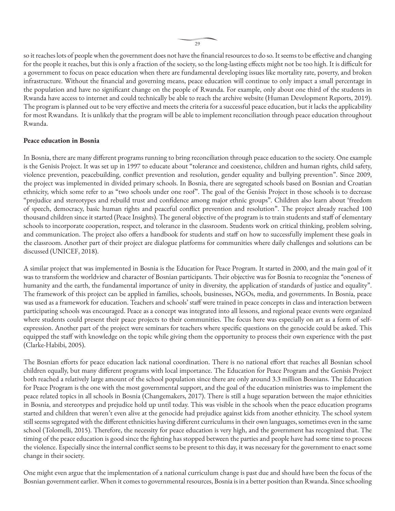so it reaches lots of people when the government does not have the financial resources to do so. It seems to be effective and changing for the people it reaches, but this is only a fraction of the society, so the long-lasting effects might not be too high. It is difficult for a government to focus on peace education when there are fundamental developing issues like mortality rate, poverty, and broken infrastructure. Without the financial and governing means, peace education will continue to only impact a small percentage in the population and have no significant change on the people of Rwanda. For example, only about one third of the students in Rwanda have access to internet and could technically be able to reach the archive website (Human Development Reports, 2019). The program is planned out to be very effective and meets the criteria for a successful peace education, but it lacks the applicability for most Rwandans. It is unlikely that the program will be able to implement reconciliation through peace education throughout Rwanda.

#### **Peace education in Bosnia**

In Bosnia, there are many different programs running to bring reconciliation through peace education to the society. One example is the Genisis Project. It was set up in 1997 to educate about "tolerance and coexistence, children and human rights, child safety, violence prevention, peacebuilding, conflict prevention and resolution, gender equality and bullying prevention". Since 2009, the project was implemented in divided primary schools. In Bosnia, there are segregated schools based on Bosnian and Croatian ethnicity, which some refer to as "two schools under one roof". The goal of the Genisis Project in those schools is to decrease "prejudice and stereotypes and rebuild trust and confidence among major ethnic groups". Children also learn about 'freedom of speech, democracy, basic human rights and peaceful conflict prevention and resolution". The project already reached 100 thousand children since it started (Peace Insights). The general objective of the program is to train students and staff of elementary schools to incorporate cooperation, respect, and tolerance in the classroom. Students work on critical thinking, problem solving, and communication. The project also offers a handbook for students and staff on how to successfully implement these goals in the classroom. Another part of their project are dialogue platforms for communities where daily challenges and solutions can be discussed (UNICEF, 2018).

A similar project that was implemented in Bosnia is the Education for Peace Program. It started in 2000, and the main goal of it was to transform the worldview and character of Bosnian participants. Their objective was for Bosnia to recognize the "oneness of humanity and the earth, the fundamental importance of unity in diversity, the application of standards of justice and equality". The framework of this project can be applied in families, schools, businesses, NGOs, media, and governments. In Bosnia, peace was used as a framework for education. Teachers and schools' staff were trained in peace concepts in class and interaction between participating schools was encouraged. Peace as a concept was integrated into all lessons, and regional peace events were organized where students could present their peace projects to their communities. The focus here was especially on art as a form of selfexpression. Another part of the project were seminars for teachers where specific questions on the genocide could be asked. This equipped the staff with knowledge on the topic while giving them the opportunity to process their own experience with the past (Clarke-Habibi, 2005).

The Bosnian efforts for peace education lack national coordination. There is no national effort that reaches all Bosnian school children equally, but many different programs with local importance. The Education for Peace Program and the Genisis Project both reached a relatively large amount of the school population since there are only around 3.3 million Bosnians. The Education for Peace Program is the one with the most governmental support, and the goal of the education ministries was to implement the peace related topics in all schools in Bosnia (Changemakers, 2017). There is still a huge separation between the major ethnicities in Bosnia, and stereotypes and prejudice hold up until today. This was visible in the schools when the peace education programs started and children that weren't even alive at the genocide had prejudice against kids from another ethnicity. The school system still seems segregated with the different ethnicities having different curriculums in their own languages, sometimes even in the same school (Tolomelli, 2015). Therefore, the necessity for peace education is very high, and the government has recognized that. The timing of the peace education is good since the fighting has stopped between the parties and people have had some time to process the violence. Especially since the internal conflict seems to be present to this day, it was necessary for the government to enact some change in their society.

One might even argue that the implementation of a national curriculum change is past due and should have been the focus of the Bosnian government earlier. When it comes to governmental resources, Bosnia is in a better position than Rwanda. Since schooling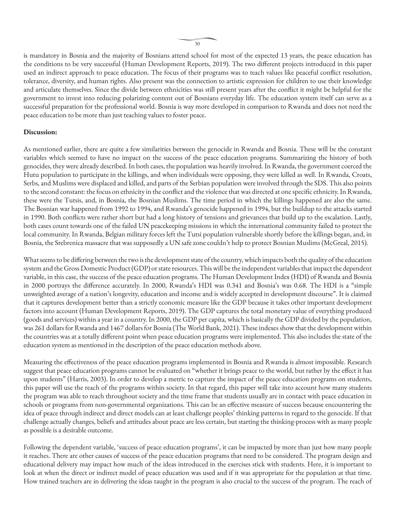is mandatory in Bosnia and the majority of Bosnians attend school for most of the expected 13 years, the peace education has the conditions to be very successful (Human Development Reports, 2019). The two different projects introduced in this paper used an indirect approach to peace education. The focus of their programs was to teach values like peaceful conflict resolution, tolerance, diversity, and human rights. Also present was the connection to artistic expression for children to use their knowledge and articulate themselves. Since the divide between ethnicities was still present years after the conflict it might be helpful for the government to invest into reducing polarizing content out of Bosnians everyday life. The education system itself can serve as a successful preparation for the professional world. Bosnia is way more developed in comparison to Rwanda and does not need the peace education to be more than just teaching values to foster peace.

#### **Discussion:**

As mentioned earlier, there are quite a few similarities between the genocide in Rwanda and Bosnia. These will be the constant variables which seemed to have no impact on the success of the peace education programs. Summarizing the history of both genocides, they were already described. In both cases, the population was heavily involved. In Rwanda, the government coerced the Hutu population to participate in the killings, and when individuals were opposing, they were killed as well. In Rwanda, Croats, Serbs, and Muslims were displaced and killed, and parts of the Serbian population were involved through the SDS. This also points to the second constant: the focus on ethnicity in the conflict and the violence that was directed at one specific ethnicity. In Rwanda, these were the Tutsis, and, in Bosnia, the Bosnian Muslims. The time period in which the killings happened are also the same. The Bosnian war happened from 1992 to 1994, and Rwanda's genocide happened in 1994, but the buildup to the attacks started in 1990. Both conflicts were rather short but had a long history of tensions and grievances that build up to the escalation. Lastly, both cases count towards one of the failed UN peacekeeping missions in which the international community failed to protect the local community. In Rwanda, Belgian military forces left the Tutsi population vulnerable shortly before the killings began, and, in Bosnia, the Srebrenica massacre that was supposedly a UN safe zone couldn't help to protect Bosnian Muslims (McGreal, 2015).

What seems to be differing between the two is the development state of the country, which impacts both the quality of the education system and the Gross Domestic Product (GDP) or state resources. This will be the independent variables that impact the dependent variable, in this case, the success of the peace education programs. The Human Development Index (HDI) of Rwanda and Bosnia in 2000 portrays the difference accurately. In 2000, Rwanda's HDI was 0.341 and Bosnia's was 0.68. The HDI is a "simple unweighted average of a nation's longevity, education and income and is widely accepted in development discourse". It is claimed that it captures development better than a strictly economic measure like the GDP because it takes other important development factors into account (Human Development Reports, 2019). The GDP captures the total monetary value of everything produced (goods and services) within a year in a country. In 2000, the GDP per capita, which is basically the GDP divided by the population, was 261 dollars for Rwanda and 1467 dollars for Bosnia (The World Bank, 2021). These indexes show that the development within the countries was at a totally different point when peace education programs were implemented. This also includes the state of the education system as mentioned in the description of the peace education methods above.

Measuring the effectiveness of the peace education programs implemented in Bosnia and Rwanda is almost impossible. Research suggest that peace education programs cannot be evaluated on "whether it brings peace to the world, but rather by the effect it has upon students" (Harris, 2003). In order to develop a metric to capture the impact of the peace education programs on students, this paper will use the reach of the programs within society. In that regard, this paper will take into account how many students the program was able to reach throughout society and the time frame that students usually are in contact with peace education in schools or programs from non-governmental organizations. This can be an effective measure of success because encountering the idea of peace through indirect and direct models can at least challenge peoples' thinking patterns in regard to the genocide. If that challenge actually changes, beliefs and attitudes about peace are less certain, but starting the thinking-process with as many people as possible is a desirable outcome.

Following the dependent variable, 'success of peace education programs', it can be impacted by more than just how many people it reaches. There are other causes of success of the peace education programs that need to be considered. The program design and educational delivery may impact how much of the ideas introduced in the exercises stick with students. Here, it is important to look at when the direct or indirect model of peace education was used and if it was appropriate for the population at that time. How trained teachers are in delivering the ideas taught in the program is also crucial to the success of the program. The reach of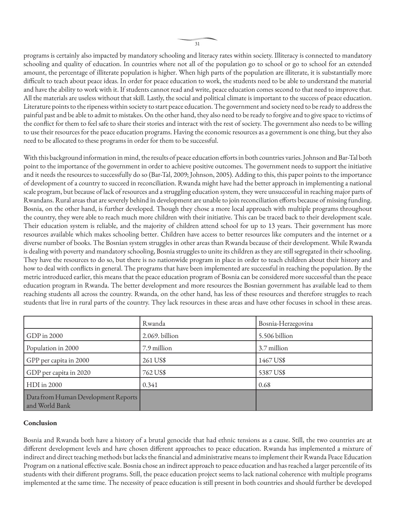programs is certainly also impacted by mandatory schooling and literacy rates within society. Illiteracy is connected to mandatory schooling and quality of education. In countries where not all of the population go to school or go to school for an extended amount, the percentage of illiterate population is higher. When high parts of the population are illiterate, it is substantially more difficult to teach about peace ideas. In order for peace education to work, the students need to be able to understand the material and have the ability to work with it. If students cannot read and write, peace education comes second to that need to improve that. All the materials are useless without that skill. Lastly, the social and political climate is important to the success of peace education. Literature points to the ripeness within society to start peace education. The government and society need to be ready to address the painful past and be able to admit to mistakes. On the other hand, they also need to be ready to forgive and to give space to victims of the conflict for them to feel safe to share their stories and interact with the rest of society. The government also needs to be willing to use their resources for the peace education programs. Having the economic resources as a government is one thing, but they also need to be allocated to these programs in order for them to be successful.

With this background information in mind, the results of peace education efforts in both countries varies. Johnson and Bar-Tal both point to the importance of the government in order to achieve positive outcomes. The government needs to support the initiative and it needs the resources to successfully do so (Bar-Tal, 2009; Johnson, 2005). Adding to this, this paper points to the importance of development of a country to succeed in reconciliation. Rwanda might have had the better approach in implementing a national scale program, but because of lack of resources and a struggling education system, they were unsuccessful in reaching major parts of Rwandans. Rural areas that are severely behind in development are unable to join reconciliation efforts because of missing funding. Bosnia, on the other hand, is further developed. Though they chose a more local approach with multiple programs throughout the country, they were able to reach much more children with their initiative. This can be traced back to their development scale. Their education system is reliable, and the majority of children attend school for up to 13 years. Their government has more resources available which makes schooling better. Children have access to better resources like computers and the internet or a diverse number of books. The Bosnian system struggles in other areas than Rwanda because of their development. While Rwanda is dealing with poverty and mandatory schooling, Bosnia struggles to unite its children as they are still segregated in their schooling. They have the resources to do so, but there is no nationwide program in place in order to teach children about their history and how to deal with conflicts in general. The programs that have been implemented are successful in reaching the population. By the metric introduced earlier, this means that the peace education program of Bosnia can be considered more successful than the peace education program in Rwanda. The better development and more resources the Bosnian government has available lead to them reaching students all across the country. Rwanda, on the other hand, has less of these resources and therefore struggles to reach students that live in rural parts of the country. They lack resources in these areas and have other focuses in school in these areas.

|                                                       | Rwanda         | Bosnia-Herzegovina |
|-------------------------------------------------------|----------------|--------------------|
| GDP in 2000                                           | 2.069. billion | 5.506 billion      |
| Population in 2000                                    | 7.9 million    | 3.7 million        |
| GPP per capita in 2000                                | 261 US\$       | 1467 US\$          |
| GDP per capita in 2020                                | 762 US\$       | 5387 US\$          |
| HDI in 2000                                           | 0.341          | 0.68               |
| Data from Human Development Reports<br>and World Bank |                |                    |

#### **Conclusion**

Bosnia and Rwanda both have a history of a brutal genocide that had ethnic tensions as a cause. Still, the two countries are at different development levels and have chosen different approaches to peace education. Rwanda has implemented a mixture of indirect and direct teaching methods but lacks the financial and administrative means to implement their Rwanda Peace Education Program on a national effective scale. Bosnia chose an indirect approach to peace education and has reached a larger percentile of its students with their different programs. Still, the peace education project seems to lack national coherence with multiple programs implemented at the same time. The necessity of peace education is still present in both countries and should further be developed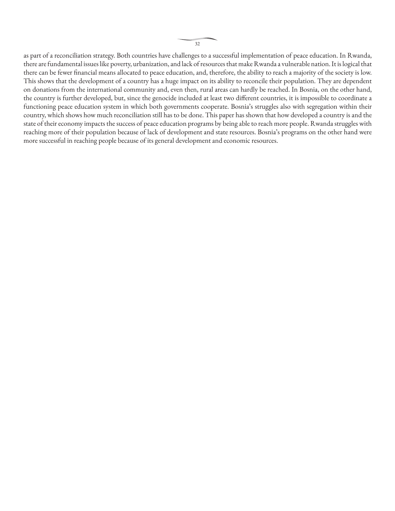as part of a reconciliation strategy. Both countries have challenges to a successful implementation of peace education. In Rwanda, there are fundamental issues like poverty, urbanization, and lack of resources that make Rwanda a vulnerable nation. It is logical that there can be fewer financial means allocated to peace education, and, therefore, the ability to reach a majority of the society is low. This shows that the development of a country has a huge impact on its ability to reconcile their population. They are dependent on donations from the international community and, even then, rural areas can hardly be reached. In Bosnia, on the other hand, the country is further developed, but, since the genocide included at least two different countries, it is impossible to coordinate a functioning peace education system in which both governments cooperate. Bosnia's struggles also with segregation within their country, which shows how much reconciliation still has to be done. This paper has shown that how developed a country is and the state of their economy impacts the success of peace education programs by being able to reach more people. Rwanda struggles with reaching more of their population because of lack of development and state resources. Bosnia's programs on the other hand were more successful in reaching people because of its general development and economic resources.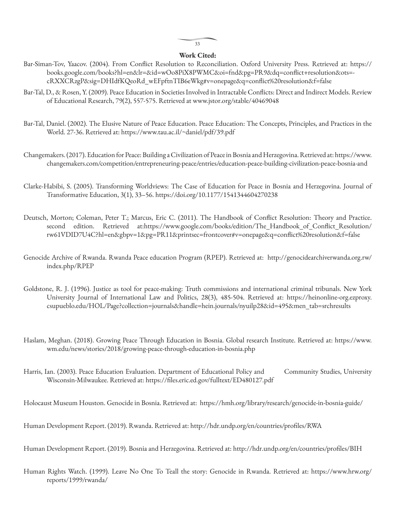#### **Work Cited:**

- Bar-Siman-Tov, Yaacov. (2004). From Conflict Resolution to Reconciliation. Oxford University Press. Retrieved at: https:// books.google.com/books?hl=en&lr=&id=wOo8PiX8PWMC&oi=fnd&pg=PR9&dq=conflict+resolution&ots= cRXXCRzgP&sig=DHIdfKQeoRd\_wEFpftnTIB6eWkg#v=onepage&q=conflict%20resolution&f=false
- Bar-Tal, D., & Rosen, Y. (2009). Peace Education in Societies Involved in Intractable Conflicts: Direct and Indirect Models. Review of Educational Research, 79(2), 557-575. Retrieved at www.jstor.org/stable/40469048
- Bar-Tal, Daniel. (2002). The Elusive Nature of Peace Education. Peace Education: The Concepts, Principles, and Practices in the World. 27-36. Retrieved at: https://www.tau.ac.il/~daniel/pdf/39.pdf
- Changemakers. (2017). Education for Peace: Building a Civilization of Peace in Bosnia and Herzegovina. Retrieved at: https://www. changemakers.com/competition/entrepreneuring-peace/entries/education-peace-building-civilization-peace-bosnia-and
- Clarke-Habibi, S. (2005). Transforming Worldviews: The Case of Education for Peace in Bosnia and Herzegovina. Journal of Transformative Education, 3(1), 33–56. https://doi.org/10.1177/1541344604270238
- Deutsch, Morton; Coleman, Peter T.; Marcus, Eric C. (2011). The Handbook of Conflict Resolution: Theory and Practice. second edition. Retrieved at:https://www.google.com/books/edition/The\_Handbook\_of\_Conflict\_Resolution/ rw61VDID7U4C?hl=en&gbpv=1&pg=PR11&printsec=frontcover#v=onepage&q=conflict%20resolution&f=false
- Genocide Archive of Rwanda. Rwanda Peace education Program (RPEP). Retrieved at: http://genocidearchiverwanda.org.rw/ index.php/RPEP
- Goldstone, R. J. (1996). Justice as tool for peace-making: Truth commissions and international criminal tribunals. New York University Journal of International Law and Politics, 28(3), 485-504. Retrieved at: https://heinonline-org.ezproxy. csupueblo.edu/HOL/Page?collection=journals&handle=hein.journals/nyuilp28&id=495&men\_tab=srchresults
- Haslam, Meghan. (2018). Growing Peace Through Education in Bosnia. Global research Institute. Retrieved at: https://www. wm.edu/news/stories/2018/growing-peace-through-education-in-bosnia.php
- Harris, Ian. (2003). Peace Education Evaluation. Department of Educational Policy and Community Studies, University Wisconsin-Milwaukee. Retrieved at: https://files.eric.ed.gov/fulltext/ED480127.pdf

Holocaust Museum Houston. Genocide in Bosnia. Retrieved at: https://hmh.org/library/research/genocide-in-bosnia-guide/

Human Development Report. (2019). Rwanda. Retrieved at: http://hdr.undp.org/en/countries/profiles/RWA

Human Development Report. (2019). Bosnia and Herzegovina. Retrieved at: http://hdr.undp.org/en/countries/profiles/BIH

Human Rights Watch. (1999). Leave No One To Teall the story: Genocide in Rwanda. Retrieved at: https://www.hrw.org/ reports/1999/rwanda/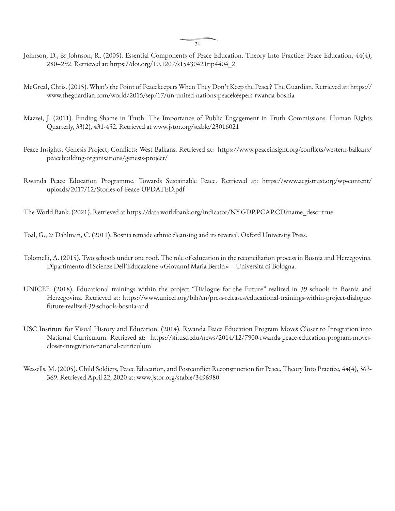34

- Johnson, D., & Johnson, R. (2005). Essential Components of Peace Education. Theory Into Practice: Peace Education, 44(4), 280–292. Retrieved at: https://doi.org/10.1207/s15430421tip4404\_2
- McGreal, Chris. (2015). What's the Point of Peacekeepers When They Don't Keep the Peace? The Guardian. Retrieved at: https:// www.theguardian.com/world/2015/sep/17/un-united-nations-peacekeepers-rwanda-bosnia
- Mazzei, J. (2011). Finding Shame in Truth: The Importance of Public Engagement in Truth Commissions. Human Rights Quarterly, 33(2), 431-452. Retrieved at www.jstor.org/stable/23016021
- Peace Insights. Genesis Project, Conflicts: West Balkans. Retrieved at: https://www.peaceinsight.org/conflicts/western-balkans/ peacebuilding-organisations/genesis-project/
- Rwanda Peace Education Programme. Towards Sustainable Peace. Retrieved at: https://www.aegistrust.org/wp-content/ uploads/2017/12/Stories-of-Peace-UPDATED.pdf

The World Bank. (2021). Retrieved at https://data.worldbank.org/indicator/NY.GDP.PCAP.CD?name\_desc=true

Toal, G., & Dahlman, C. (2011). Bosnia remade ethnic cleansing and its reversal. Oxford University Press.

- Tolomelli, A. (2015). Two schools under one roof. The role of education in the reconciliation process in Bosnia and Herzegovina. Dipartimento di Scienze Dell'Educazione «Giovanni Maria Bertin» – Università di Bologna.
- UNICEF. (2018). Educational trainings within the project "Dialogue for the Future" realized in 39 schools in Bosnia and Herzegovina. Retrieved at: https://www.unicef.org/bih/en/press-releases/educational-trainings-within-project-dialoguefuture-realized-39-schools-bosnia-and
- USC Institute for Visual History and Education. (2014). Rwanda Peace Education Program Moves Closer to Integration into National Curriculum. Retrieved at: https://sfi.usc.edu/news/2014/12/7900-rwanda-peace-education-program-movescloser-integration-national-curriculum
- Wessells, M. (2005). Child Soldiers, Peace Education, and Postconflict Reconstruction for Peace. Theory Into Practice, 44(4), 363- 369. Retrieved April 22, 2020 at: www.jstor.org/stable/3496980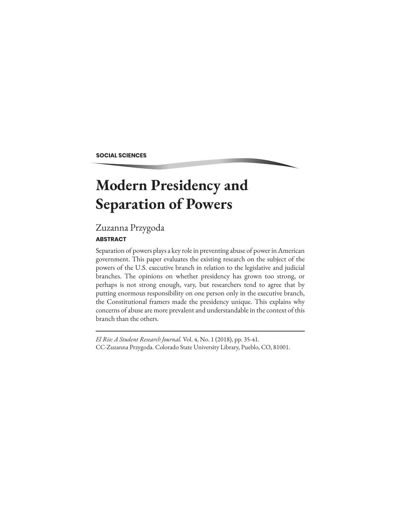**SOCIAL SCIENCES**

# **Modern Presidency and Separation of Powers**

### Zuzanna Przygoda

#### **ABSTRACT**

Separation of powers plays a key role in preventing abuse of power in American government. This paper evaluates the existing research on the subject of the powers of the U.S. executive branch in relation to the legislative and judicial branches. The opinions on whether presidency has grown too strong, or perhaps is not strong enough, vary, but researchers tend to agree that by putting enormous responsibility on one person only in the executive branch, the Constitutional framers made the presidency unique. This explains why concerns of abuse are more prevalent and understandable in the context of this branch than the others.

*El Rio: A Student Research Journal.* Vol. 4, No. 1 (2018), pp. 35-41. CC-Zuzanna Przygoda. Colorado State University Library, Pueblo, CO, 81001.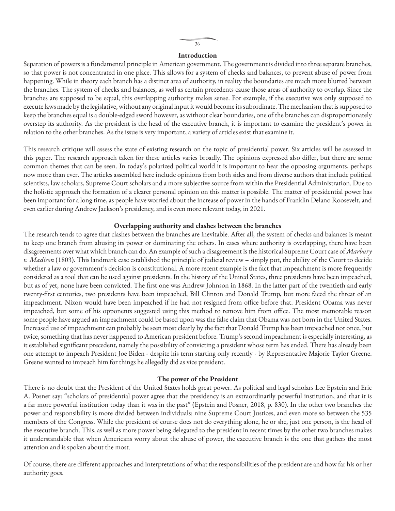#### **Introduction**

Separation of powers is a fundamental principle in American government. The government is divided into three separate branches, so that power is not concentrated in one place. This allows for a system of checks and balances, to prevent abuse of power from happening. While in theory each branch has a distinct area of authority, in reality the boundaries are much more blurred between the branches. The system of checks and balances, as well as certain precedents cause those areas of authority to overlap. Since the branches are supposed to be equal, this overlapping authority makes sense. For example, if the executive was only supposed to execute laws made by the legislative, without any original input it would become its subordinate. The mechanism that is supposed to keep the branches equal is a double-edged sword however, as without clear boundaries, one of the branches can disproportionately overstep its authority. As the president is the head of the executive branch, it is important to examine the president's power in relation to the other branches. As the issue is very important, a variety of articles exist that examine it.

This research critique will assess the state of existing research on the topic of presidential power. Six articles will be assessed in this paper. The research approach taken for these articles varies broadly. The opinions expressed also differ, but there are some common themes that can be seen. In today's polarized political world it is important to hear the opposing arguments, perhaps now more than ever. The articles assembled here include opinions from both sides and from diverse authors that include political scientists, law scholars, Supreme Court scholars and a more subjective source from within the Presidential Administration. Due to the holistic approach the formation of a clearer personal opinion on this matter is possible. The matter of presidential power has been important for a long time, as people have worried about the increase of power in the hands of Franklin Delano Roosevelt, and even earlier during Andrew Jackson's presidency, and is even more relevant today, in 2021.

#### **Overlapping authority and clashes between the branches**

The research tends to agree that clashes between the branches are inevitable. After all, the system of checks and balances is meant to keep one branch from abusing its power or dominating the others. In cases where authority is overlapping, there have been disagreements over what which branch can do. An example of such a disagreement is the historical Supreme Court case of *Marbury v. Madison* (1803). This landmark case established the principle of judicial review – simply put, the ability of the Court to decide whether a law or government's decision is constitutional. A more recent example is the fact that impeachment is more frequently considered as a tool that can be used against presidents. In the history of the United States, three presidents have been impeached, but as of yet, none have been convicted. The first one was Andrew Johnson in 1868. In the latter part of the twentieth and early twenty-first centuries, two presidents have been impeached, Bill Clinton and Donald Trump, but more faced the threat of an impeachment. Nixon would have been impeached if he had not resigned from office before that. President Obama was never impeached, but some of his opponents suggested using this method to remove him from office. The most memorable reason some people have argued an impeachment could be based upon was the false claim that Obama was not born in the United States. Increased use of impeachment can probably be seen most clearly by the fact that Donald Trump has been impeached not once, but twice, something that has never happened to American president before. Trump's second impeachment is especially interesting, as it established significant precedent, namely the possibility of convicting a president whose term has ended. There has already been one attempt to impeach President Joe Biden - despite his term starting only recently - by Representative Majorie Taylor Greene. Greene wanted to impeach him for things he allegedly did as vice president.

#### **The power of the President**

There is no doubt that the President of the United States holds great power. As political and legal scholars Lee Epstein and Eric A. Posner say: "scholars of presidential power agree that the presidency is an extraordinarily powerful institution, and that it is a far more powerful institution today than it was in the past" (Epstein and Posner, 2018, p. 830). In the other two branches the power and responsibility is more divided between individuals: nine Supreme Court Justices, and even more so between the 535 members of the Congress. While the president of course does not do everything alone, he or she, just one person, is the head of the executive branch. This, as well as more power being delegated to the president in recent times by the other two branches makes it understandable that when Americans worry about the abuse of power, the executive branch is the one that gathers the most attention and is spoken about the most.

Of course, there are different approaches and interpretations of what the responsibilities of the president are and how far his or her authority goes.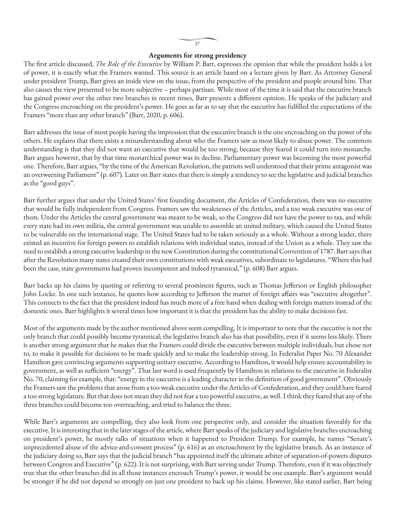#### **Arguments for strong presidency**

The first article discussed, *The Role of the Executive* by William P. Barr, expresses the opinion that while the president holds a lot of power, it is exactly what the Framers wanted. This source is an article based on a lecture given by Barr. As Attorney General under president Trump, Barr gives an inside view on the issue, from the perspective of the president and people around him. That also causes the view presented to be more subjective – perhaps partisan. While most of the time it is said that the executive branch has gained power over the other two branches in recent times, Barr presents a different opinion. He speaks of the judiciary and the Congress encroaching on the president's power. He goes as far as to say that the executive has fulfilled the expectations of the Framers "more than any other branch" (Barr, 2020, p. 606).

Barr addresses the issue of most people having the impression that the executive branch is the one encroaching on the power of the others. He explains that there exists a misunderstanding about who the Framers saw as most likely to abuse power. The common understanding is that they did not want an executive that would be too strong, because they feared it could turn into monarchy. Barr argues however, that by that time monarchical power was in decline. Parliamentary power was becoming the most powerful one. Therefore, Barr argues, "by the time of the American Revolution, the patriots well understood that their prime antagonist was an overweening Parliament" (p. 607). Later on Barr states that there is simply a tendency to see the legislative and judicial branches as the "good guys".

Barr further argues that under the United States' first founding document, the Articles of Confederation, there was no executive that would be fully independent from Congress. Framers saw the weaknesses of the Articles, and a too weak executive was one of them. Under the Articles the central government was meant to be weak, so the Congress did not have the power to tax, and while every state had its own militia, the central government was unable to assemble an united military, which caused the United States to be vulnerable on the international stage. The United States had to be taken seriously as a whole. Without a strong leader, there existed an incentive for foreign powers to establish relations with individual states, instead of the Union as a whole. They saw the need to establish a strong executive leadership in the new Constitution during the constitutional Convention of 1787. Barr says that after the Revolution many states created their own constitutions with weak executives, subordinate to legislatures. "Where this had been the case, state governments had proven incompetent and indeed tyrannical," (p. 608) Barr argues.

Barr backs up his claims by quoting or referring to several prominent figures, such as Thomas Jefferson or English philosopher John Locke. In one such instance, he quotes how according to Jefferson the matter of foreign affairs was "executive altogether". This connects to the fact that the president indeed has much more of a free hand when dealing with foreign matters instead of the domestic ones. Barr highlights it several times how important it is that the president has the ability to make decisions fast.

Most of the arguments made by the author mentioned above seem compelling. It is important to note that the executive is not the only branch that could possibly become tyrannical; the legislative branch also has that possibility, even if it seems less likely. There is another strong argument that he makes that the Framers could divide the executive between multiple individuals, but chose not to, to make it possible for decisions to be made quickly and to make the leadership strong. In Federalist Paper No. 70 Alexander Hamilton gave convincing arguments supporting unitary executive. According to Hamilton, it would help ensure accountability in government, as well as sufficient "energy". That last word is used frequently by Hamilton in relations to the executive in Federalist No. 70, claiming for example, that: "energy in the executive is a leading character in the definition of good government". Obviously the Framers saw the problems that arose from a too weak executive under the Articles of Confederation, and they could have feared a too strong legislature. But that does not mean they did not fear a too powerful executive, as well. I think they feared that any of the three branches could become too overreaching, and tried to balance the three.

While Barr's arguments are compelling, they also look from one perspective only, and consider the situation favorably for the executive. It is interesting that in the later stages of the article, where Barr speaks of the judiciary and legislative branches encroaching on president's power, he mostly talks of situations when it happened to President Trump. For example, he names "Senate's unprecedented abuse of the advice-and-consent process" (p. 616) as an encroachment by the legislative branch. As an instance of the judiciary doing so, Barr says that the judicial branch "has appointed itself the ultimate arbiter of separation-of-powers disputes between Congress and Executive" (p. 622). It is not surprising, with Barr serving under Trump. Therefore, even if it was objectively true that the other branches did in all those instances encroach Trump's power, it would be one example. Barr's argument would be stronger if he did not depend so strongly on just one president to back up his claims. However, like stated earlier, Barr being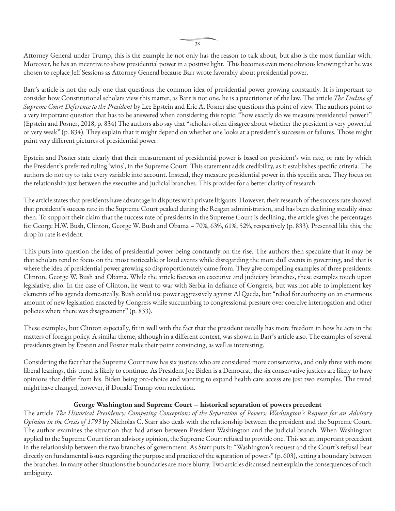Attorney General under Trump, this is the example he not only has the reason to talk about, but also is the most familiar with. Moreover, he has an incentive to show presidential power in a positive light. This becomes even more obvious knowing that he was chosen to replace Jeff Sessions as Attorney General because Barr wrote favorably about presidential power.

Barr's article is not the only one that questions the common idea of presidential power growing constantly. It is important to consider how Constitutional scholars view this matter, as Barr is not one, he is a practitioner of the law. The article *The Decline of Supreme Court Deference to the President* by Lee Epstein and Eric A. Posner also questions this point of view. The authors point to a very important question that has to be answered when considering this topic: "how exactly do we measure presidential power?" (Epstein and Posner, 2018, p. 834) The authors also say that "scholars often disagree about whether the president is very powerful or very weak" (p. 834). They explain that it might depend on whether one looks at a president's successes or failures. Those might paint very different pictures of presidential power.

Epstein and Posner state clearly that their measurement of presidential power is based on president's win rate, or rate by which the President's preferred ruling 'wins', in the Supreme Court. This statement adds credibility, as it establishes specific criteria. The authors do not try to take every variable into account. Instead, they measure presidential power in this specific area. They focus on the relationship just between the executive and judicial branches. This provides for a better clarity of research.

The article states that presidents have advantage in disputes with private litigants. However, their research of the success rate showed that president's success rate in the Supreme Court peaked during the Reagan administration, and has been declining steadily since then. To support their claim that the success rate of presidents in the Supreme Court is declining, the article gives the percentages for George H.W. Bush, Clinton, George W. Bush and Obama – 70%, 63%, 61%, 52%, respectively (p. 833). Presented like this, the drop in rate is evident.

This puts into question the idea of presidential power being constantly on the rise. The authors then speculate that it may be that scholars tend to focus on the most noticeable or loud events while disregarding the more dull events in governing, and that is where the idea of presidential power growing so disproportionately came from. They give compelling examples of three presidents: Clinton, George W. Bush and Obama. While the article focuses on executive and judiciary branches, these examples touch upon legislative, also. In the case of Clinton, he went to war with Serbia in defiance of Congress, but was not able to implement key elements of his agenda domestically. Bush could use power aggressively against Al Qaeda, but "relied for authority on an enormous amount of new legislation enacted by Congress while succumbing to congressional pressure over coercive interrogation and other policies where there was disagreement" (p. 833).

These examples, but Clinton especially, fit in well with the fact that the president usually has more freedom in how he acts in the matters of foreign policy. A similar theme, although in a different context, was shown in Barr's article also. The examples of several presidents given by Epstein and Posner make their point convincing, as well as interesting.

Considering the fact that the Supreme Court now has six justices who are considered more conservative, and only three with more liberal leanings, this trend is likely to continue. As President Joe Biden is a Democrat, the six conservative justices are likely to have opinions that differ from his. Biden being pro-choice and wanting to expand health care access are just two examples. The trend might have changed, however, if Donald Trump won reelection.

#### **George Washington and Supreme Court – historical separation of powers precedent**

The article *The Historical Presidency: Competing Conceptions of the Separation of Powers: Washington's Request for an Advisory Opinion in the Crisis of 1793* by Nicholas C. Starr also deals with the relationship between the president and the Supreme Court. The author examines the situation that had arisen between President Washington and the judicial branch. When Washington applied to the Supreme Court for an advisory opinion, the Supreme Court refused to provide one. This set an important precedent in the relationship between the two branches of government. As Starr puts it: "Washington's request and the Court's refusal bear directly on fundamental issues regarding the purpose and practice of the separation of powers" (p. 603), setting a boundary between the branches. In many other situations the boundaries are more blurry. Two articles discussed next explain the consequences of such ambiguity.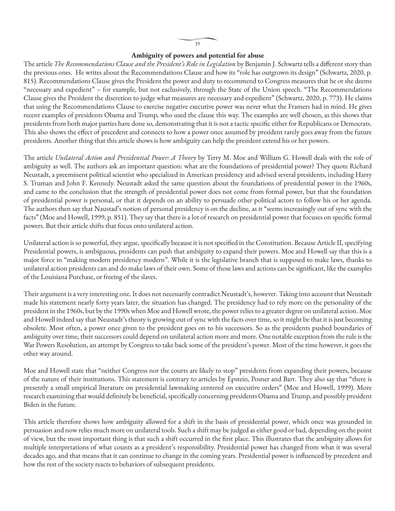#### **Ambiguity of powers and potential for abuse**

The article *The Recommendations Clause and the President's Role in Legislation* by Benjamin J. Schwartz tells a different story than the previous ones. He writes about the Recommendations Clause and how its "role has outgrown its design" (Schwartz, 2020, p. 815). Recommendations Clause gives the President the power and duty to recommend to Congress measures that he or she deems "necessary and expedient" – for example, but not exclusively, through the State of the Union speech. "The Recommendations Clause gives the President the discretion to judge what measures are necessary and expedient" (Schwartz, 2020, p. 773). He claims that using the Recommendations Clause to exercise negative executive power was never what the Framers had in mind. He gives recent examples of presidents Obama and Trump, who used the clause this way. The examples are well chosen, as this shows that presidents from both major parties have done so, demonstrating that it is not a tactic specific either for Republicans or Democrats. This also shows the effect of precedent and connects to how a power once assumed by president rarely goes away from the future presidents. Another thing that this article shows is how ambiguity can help the president extend his or her powers.

The article *Unilateral Action and Presidential Power: A Theory* by Terry M. Moe and William G. Howell deals with the role of ambiguity as well. The authors ask an important question: what are the foundations of presidential power? They quote Richard Neustadt, a preeminent political scientist who specialized in American presidency and advised several presidents, including Harry S. Truman and John F. Kennedy. Neustadt asked the same question about the foundations of presidential power in the 1960s, and came to the conclusion that the strength of presidential power does not come from formal power, but that the foundation of presidential power is personal, or that it depends on an ability to persuade other political actors to follow his or her agenda. The authors then say that Naustad's notion of personal presidency is on the decline, as it "seems increasingly out of sync with the facts" (Moe and Howell, 1999, p. 851). They say that there is a lot of research on presidential power that focuses on specific formal powers. But their article shifts that focus onto unilateral action.

Unilateral action is so powerful, they argue, specifically because it is not specified in the Constitution. Because Article II, specifying Presidential powers, is ambiguous, presidents can push that ambiguity to expand their powers. Moe and Howell say that this is a major force in "making modern presidency modern". While it is the legislative branch that is supposed to make laws, thanks to unilateral action presidents can and do make laws of their own. Some of those laws and actions can be significant, like the examples of the Louisiana Purchase, or freeing of the slaves.

Their argument is a very interesting one. It does not necessarily contradict Neustadt's, however. Taking into account that Neustadt made his statement nearly forty years later, the situation has changed. The presidency had to rely more on the personality of the president in the 1960s, but by the 1990s when Moe and Howell wrote, the power relies to a greater degree on unilateral action. Moe and Howell indeed say that Neustadt's theory is growing out of sync with the facts over time, so it might be that it is just becoming obsolete. Most often, a power once given to the president goes on to his successors. So as the presidents pushed boundaries of ambiguity over time, their successors could depend on unilateral action more and more. One notable exception from the rule is the War Powers Resolution, an attempt by Congress to take back some of the president's power. Most of the time however, it goes the other way around.

Moe and Howell state that "neither Congress nor the courts are likely to stop" presidents from expanding their powers, because of the nature of their institutions. This statement is contrary to articles by Epstein, Posner and Barr. They also say that "there is presently a small empirical literature on presidential lawmaking centered on executive orders" (Moe and Howell, 1999). More research examining that would definitely be beneficial, specifically concerning presidents Obama and Trump, and possibly president Biden in the future.

This article therefore shows how ambiguity allowed for a shift in the basis of presidential power, which once was grounded in persuasion and now relies much more on unilateral tools. Such a shift may be judged as either good or bad, depending on the point of view, but the most important thing is that such a shift occurred in the first place. This illustrates that the ambiguity allows for multiple interpretations of what counts as a president's responsibility. Presidential power has changed from what it was several decades ago, and that means that it can continue to change in the coming years. Presidential power is influenced by precedent and how the rest of the society reacts to behaviors of subsequent presidents.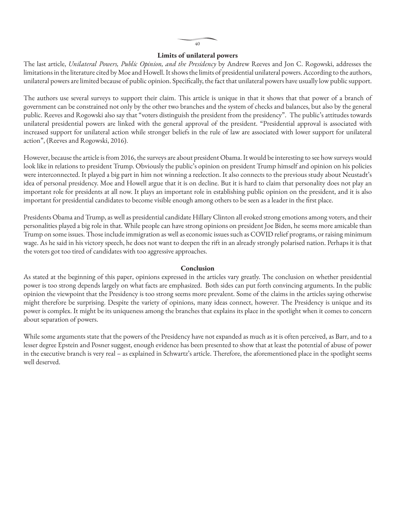#### 40

#### **Limits of unilateral powers**

The last article, *Unilateral Powers, Public Opinion, and the Presidency* by Andrew Reeves and Jon C. Rogowski, addresses the limitations in the literature cited by Moe and Howell. It shows the limits of presidential unilateral powers. According to the authors, unilateral powers are limited because of public opinion. Specifically, the fact that unilateral powers have usually low public support.

The authors use several surveys to support their claim. This article is unique in that it shows that that power of a branch of government can be constrained not only by the other two branches and the system of checks and balances, but also by the general public. Reeves and Rogowski also say that "voters distinguish the president from the presidency". The public's attitudes towards unilateral presidential powers are linked with the general approval of the president. "Presidential approval is associated with increased support for unilateral action while stronger beliefs in the rule of law are associated with lower support for unilateral action", (Reeves and Rogowski, 2016).

However, because the article is from 2016, the surveys are about president Obama. It would be interesting to see how surveys would look like in relations to president Trump. Obviously the public's opinion on president Trump himself and opinion on his policies were interconnected. It played a big part in him not winning a reelection. It also connects to the previous study about Neustadt's idea of personal presidency. Moe and Howell argue that it is on decline. But it is hard to claim that personality does not play an important role for presidents at all now. It plays an important role in establishing public opinion on the president, and it is also important for presidential candidates to become visible enough among others to be seen as a leader in the first place.

Presidents Obama and Trump, as well as presidential candidate Hillary Clinton all evoked strong emotions among voters, and their personalities played a big role in that. While people can have strong opinions on president Joe Biden, he seems more amicable than Trump on some issues. Those include immigration as well as economic issues such as COVID relief programs, or raising minimum wage. As he said in his victory speech, he does not want to deepen the rift in an already strongly polarised nation. Perhaps it is that the voters got too tired of candidates with too aggressive approaches.

#### **Conclusion**

As stated at the beginning of this paper, opinions expressed in the articles vary greatly. The conclusion on whether presidential power is too strong depends largely on what facts are emphasized. Both sides can put forth convincing arguments. In the public opinion the viewpoint that the Presidency is too strong seems more prevalent. Some of the claims in the articles saying otherwise might therefore be surprising. Despite the variety of opinions, many ideas connect, however. The Presidency is unique and its power is complex. It might be its uniqueness among the branches that explains its place in the spotlight when it comes to concern about separation of powers.

While some arguments state that the powers of the Presidency have not expanded as much as it is often perceived, as Barr, and to a lesser degree Epstein and Posner suggest, enough evidence has been presented to show that at least the potential of abuse of power in the executive branch is very real – as explained in Schwartz's article. Therefore, the aforementioned place in the spotlight seems well deserved.